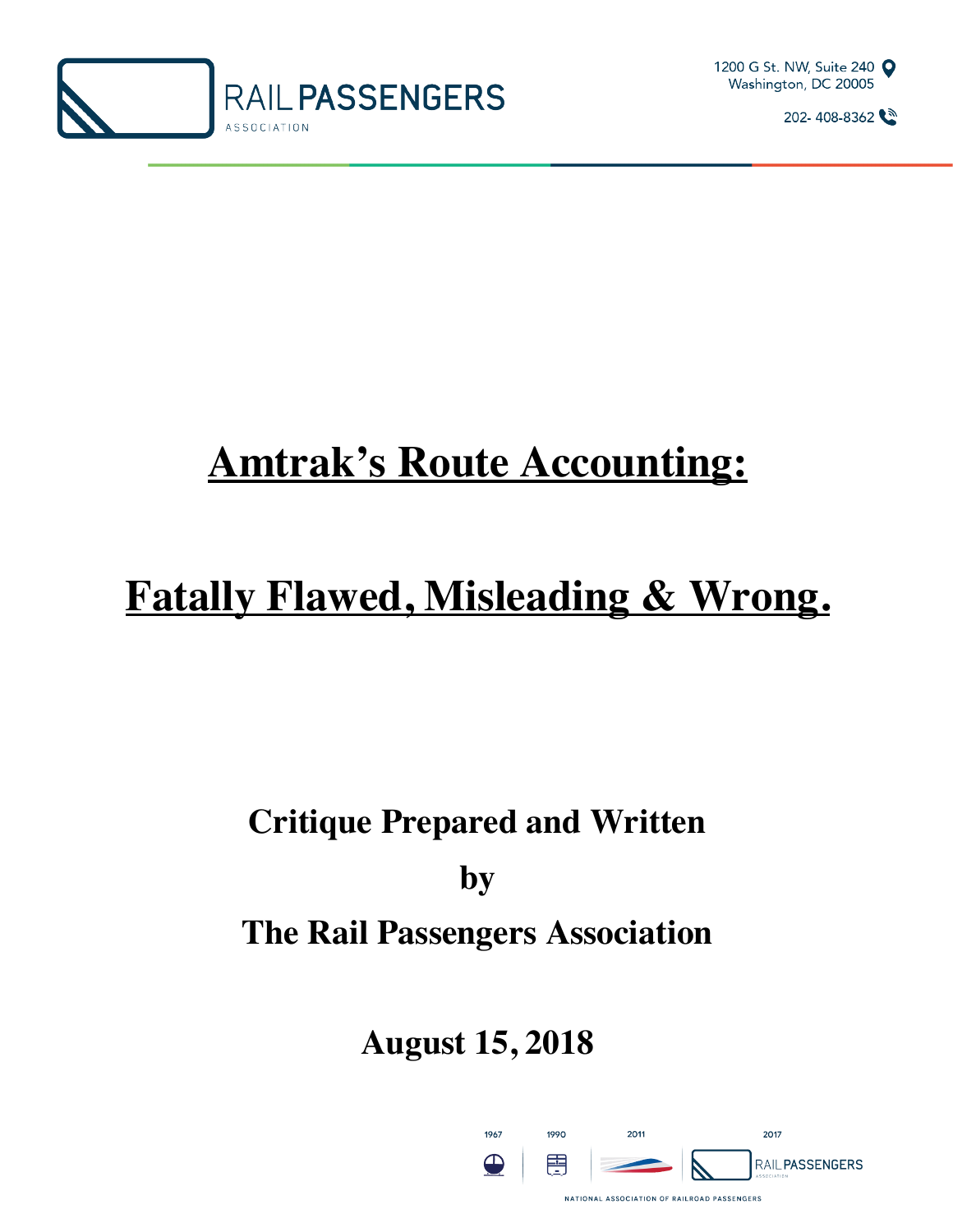



# **Amtrak's Route Accounting:**

# **Fatally Flawed, Misleading & Wrong.**

## **Critique Prepared and Written by**

## **The Rail Passengers Association**

## **August 15, 2018**

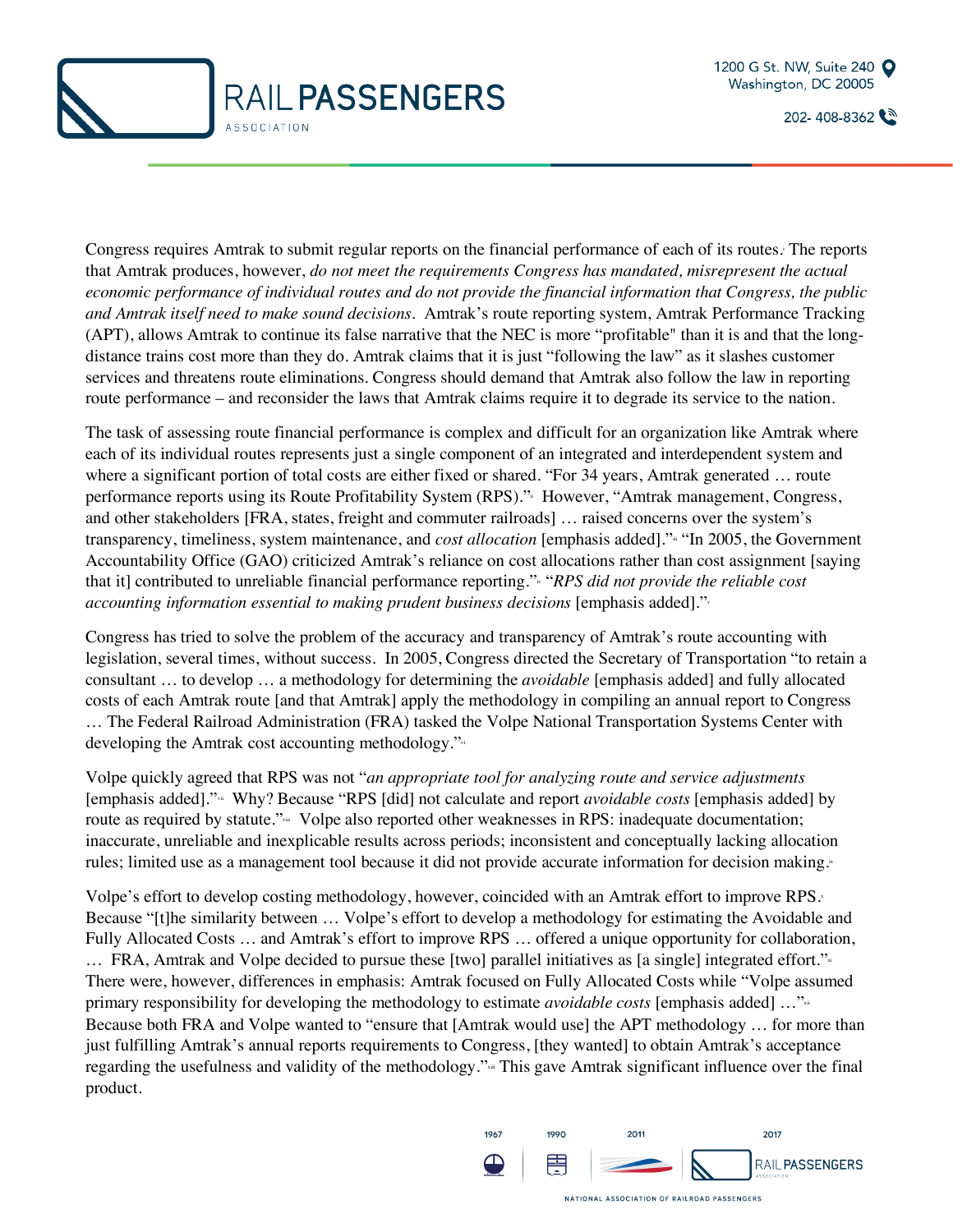



Congress requires Amtrak to submit regular reports on the financial performance of each of its routes. The reports that Amtrak produces, however, *do not meet the requirements Congress has mandated, misrepresent the actual economic performance of individual routes and do not provide the financial information that Congress, the public and Amtrak itself need to make sound decisions.* Amtrak's route reporting system, Amtrak Performance Tracking (APT), allows Amtrak to continue its false narrative that the NEC is more "profitable" than it is and that the longdistance trains cost more than they do. Amtrak claims that it is just "following the law" as it slashes customer services and threatens route eliminations. Congress should demand that Amtrak also follow the law in reporting route performance – and reconsider the laws that Amtrak claims require it to degrade its service to the nation.

The task of assessing route financial performance is complex and difficult for an organization like Amtrak where each of its individual routes represents just a single component of an integrated and interdependent system and where a significant portion of total costs are either fixed or shared. "For 34 years, Amtrak generated … route performance reports using its Route Profitability System (RPS)." However, "Amtrak management, Congress, and other stakeholders [FRA, states, freight and commuter railroads] … raised concerns over the system's transparency, timeliness, system maintenance, and *cost allocation* [emphasis added].". "In 2005, the Government Accountability Office (GAO) criticized Amtrak's reliance on cost allocations rather than cost assignment [saying that it] contributed to unreliable financial performance reporting." "*RPS did not provide the reliable cost accounting information essential to making prudent business decisions* [emphasis added]."v

Congress has tried to solve the problem of the accuracy and transparency of Amtrak's route accounting with legislation, several times, without success. In 2005, Congress directed the Secretary of Transportation "to retain a consultant … to develop … a methodology for determining the *avoidable* [emphasis added] and fully allocated costs of each Amtrak route [and that Amtrak] apply the methodology in compiling an annual report to Congress … The Federal Railroad Administration (FRA) tasked the Volpe National Transportation Systems Center with developing the Amtrak cost accounting methodology."vi

Volpe quickly agreed that RPS was not "*an appropriate tool for analyzing route and service adjustments*  [emphasis added]."vii Why? Because "RPS [did] not calculate and report *avoidable costs* [emphasis added] by route as required by statute." Volpe also reported other weaknesses in RPS: inadequate documentation; inaccurate, unreliable and inexplicable results across periods; inconsistent and conceptually lacking allocation rules; limited use as a management tool because it did not provide accurate information for decision making.

Volpe's effort to develop costing methodology, however, coincided with an Amtrak effort to improve RPS. Because "[t]he similarity between … Volpe's effort to develop a methodology for estimating the Avoidable and Fully Allocated Costs … and Amtrak's effort to improve RPS … offered a unique opportunity for collaboration,  $\ldots$  FRA, Amtrak and Volpe decided to pursue these [two] parallel initiatives as [a single] integrated effort." $\cdot$ There were, however, differences in emphasis: Amtrak focused on Fully Allocated Costs while "Volpe assumed primary responsibility for developing the methodology to estimate *avoidable costs* [emphasis added] ...<sup>"xii</sup> Because both FRA and Volpe wanted to "ensure that [Amtrak would use] the APT methodology … for more than just fulfilling Amtrak's annual reports requirements to Congress, [they wanted] to obtain Amtrak's acceptance regarding the usefulness and validity of the methodology."<sup>\*\*</sup> This gave Amtrak significant influence over the final product.

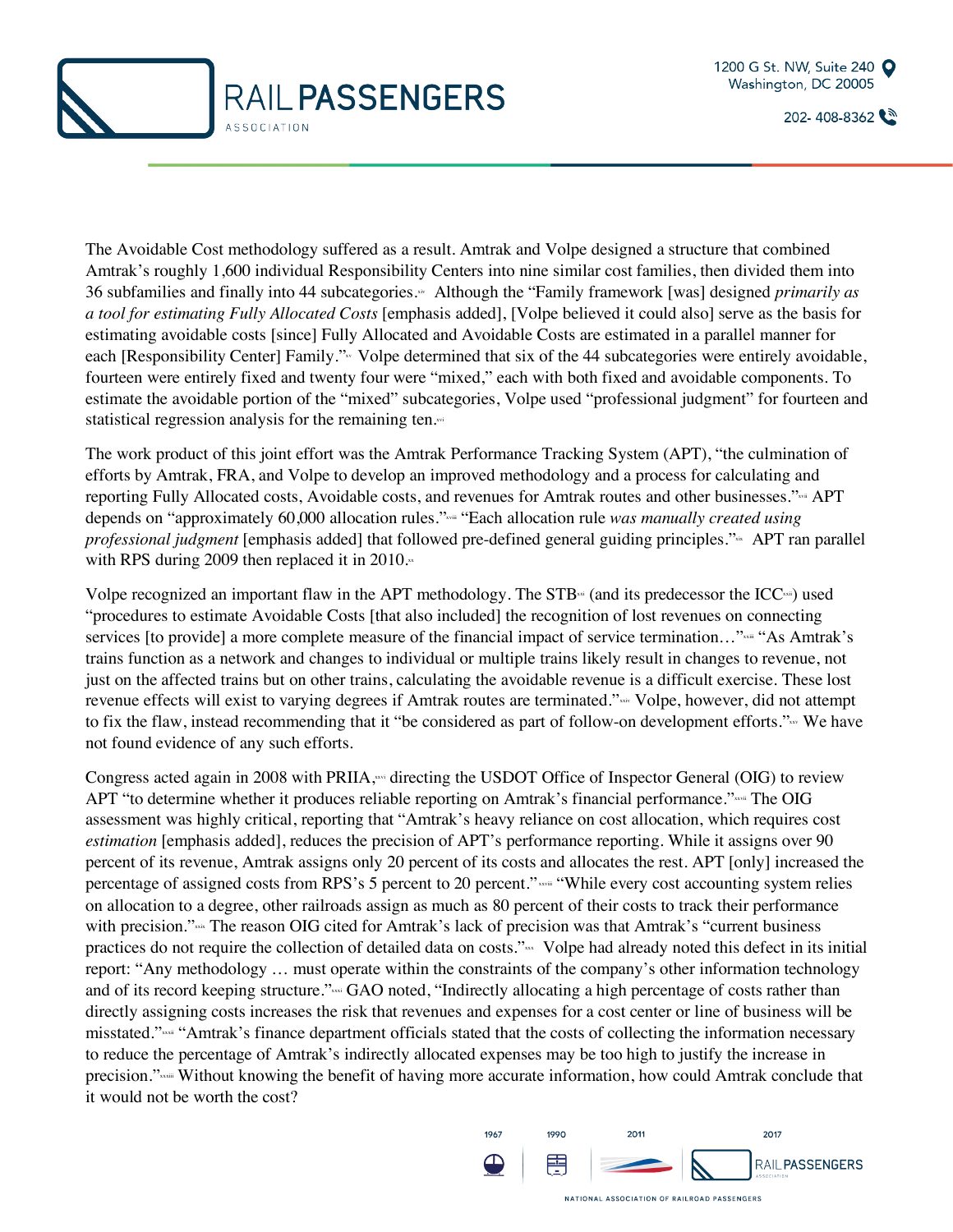



The Avoidable Cost methodology suffered as a result. Amtrak and Volpe designed a structure that combined Amtrak's roughly 1,600 individual Responsibility Centers into nine similar cost families, then divided them into 36 subfamilies and finally into 44 subcategories.<sup>\*</sup> Although the "Family framework [was] designed *primarily as a tool for estimating Fully Allocated Costs* [emphasis added], [Volpe believed it could also] serve as the basis for estimating avoidable costs [since] Fully Allocated and Avoidable Costs are estimated in a parallel manner for each [Responsibility Center] Family."<sub>xv</sub> Volpe determined that six of the 44 subcategories were entirely avoidable, fourteen were entirely fixed and twenty four were "mixed," each with both fixed and avoidable components. To estimate the avoidable portion of the "mixed" subcategories, Volpe used "professional judgment" for fourteen and statistical regression analysis for the remaining ten.xvi

The work product of this joint effort was the Amtrak Performance Tracking System (APT), "the culmination of efforts by Amtrak, FRA, and Volpe to develop an improved methodology and a process for calculating and reporting Fully Allocated costs, Avoidable costs, and revenues for Amtrak routes and other businesses."xvii APT depends on "approximately 60,000 allocation rules."<sup>wiim</sup> "Each allocation rule *was manually created using professional judgment* [emphasis added] that followed pre-defined general guiding principles."<sup>xix</sup> APT ran parallel with RPS during 2009 then replaced it in 2010. $\cdot$ 

Volpe recognized an important flaw in the APT methodology. The  $STB<sup>st</sup>$  (and its predecessor the ICC<sup>xxi</sup>) used "procedures to estimate Avoidable Costs [that also included] the recognition of lost revenues on connecting services [to provide] a more complete measure of the financial impact of service termination..." xxiii "As Amtrak's trains function as a network and changes to individual or multiple trains likely result in changes to revenue, not just on the affected trains but on other trains, calculating the avoidable revenue is a difficult exercise. These lost revenue effects will exist to varying degrees if Amtrak routes are terminated."xxiv Volpe, however, did not attempt to fix the flaw, instead recommending that it "be considered as part of follow-on development efforts." We have not found evidence of any such efforts.

Congress acted again in 2008 with PRIIA, we directing the USDOT Office of Inspector General (OIG) to review APT "to determine whether it produces reliable reporting on Amtrak's financial performance." xxvii The OIG assessment was highly critical, reporting that "Amtrak's heavy reliance on cost allocation, which requires cost *estimation* [emphasis added], reduces the precision of APT's performance reporting. While it assigns over 90 percent of its revenue, Amtrak assigns only 20 percent of its costs and allocates the rest. APT [only] increased the percentage of assigned costs from RPS's 5 percent to 20 percent." xxviii "While every cost accounting system relies on allocation to a degree, other railroads assign as much as 80 percent of their costs to track their performance with precision." The reason OIG cited for Amtrak's lack of precision was that Amtrak's "current business" practices do not require the collection of detailed data on costs."<sub>xxx</sub> Volpe had already noted this defect in its initial report: "Any methodology … must operate within the constraints of the company's other information technology and of its record keeping structure."xxxii GAO noted, "Indirectly allocating a high percentage of costs rather than directly assigning costs increases the risk that revenues and expenses for a cost center or line of business will be misstated."xxii "Amtrak's finance department officials stated that the costs of collecting the information necessary to reduce the percentage of Amtrak's indirectly allocated expenses may be too high to justify the increase in precision." Without knowing the benefit of having more accurate information, how could Amtrak conclude that it would not be worth the cost?

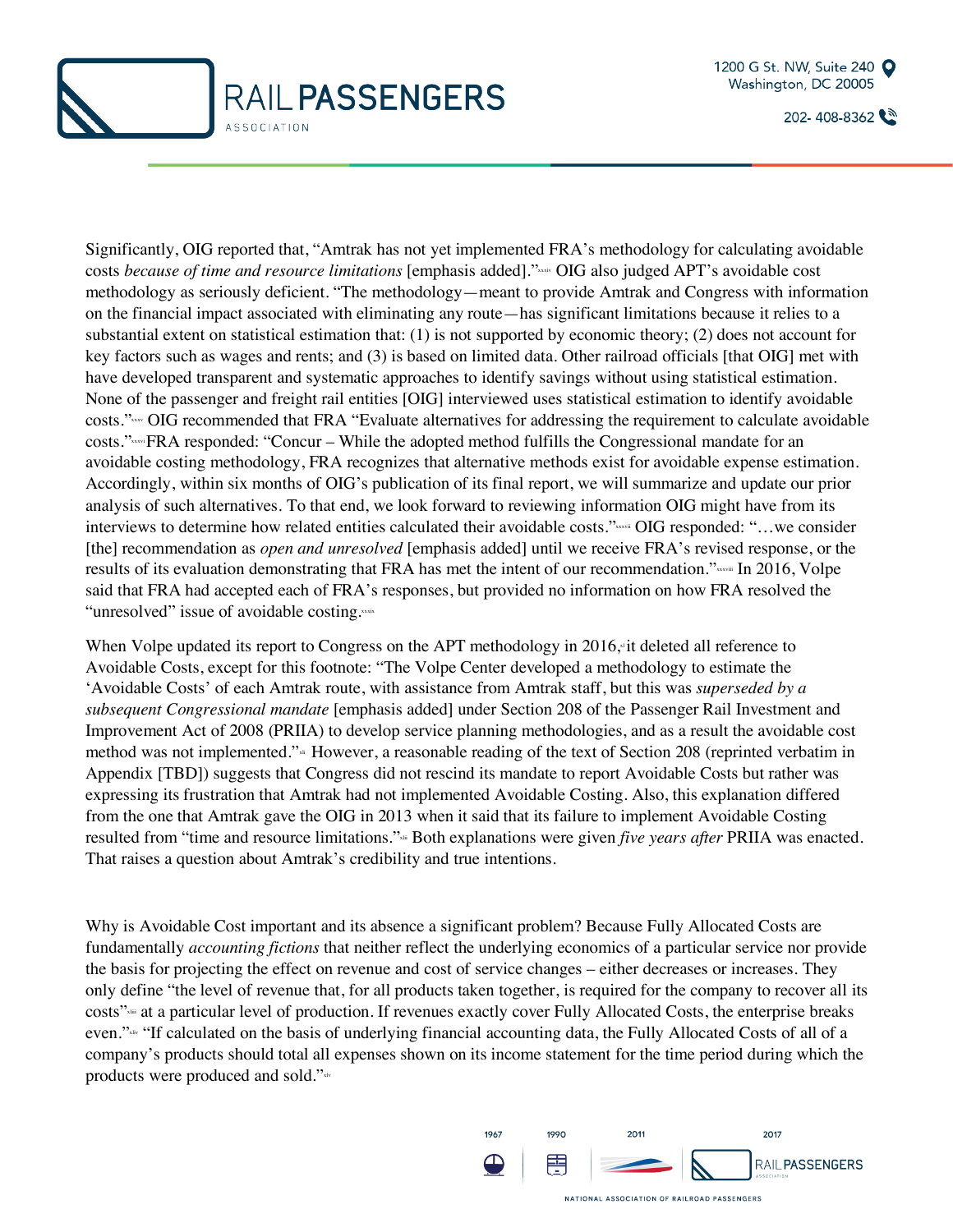



Significantly, OIG reported that, "Amtrak has not yet implemented FRA's methodology for calculating avoidable costs *because of time and resource limitations* [emphasis added]."xxxiv OIG also judged APT's avoidable cost methodology as seriously deficient. "The methodology—meant to provide Amtrak and Congress with information on the financial impact associated with eliminating any route—has significant limitations because it relies to a substantial extent on statistical estimation that: (1) is not supported by economic theory; (2) does not account for key factors such as wages and rents; and (3) is based on limited data. Other railroad officials [that OIG] met with have developed transparent and systematic approaches to identify savings without using statistical estimation. None of the passenger and freight rail entities [OIG] interviewed uses statistical estimation to identify avoidable costs." OIG recommended that FRA "Evaluate alternatives for addressing the requirement to calculate avoidable costs."xxxviFRA responded: "Concur – While the adopted method fulfills the Congressional mandate for an avoidable costing methodology, FRA recognizes that alternative methods exist for avoidable expense estimation. Accordingly, within six months of OIG's publication of its final report, we will summarize and update our prior analysis of such alternatives. To that end, we look forward to reviewing information OIG might have from its interviews to determine how related entities calculated their avoidable costs."xxxxii OIG responded: "...we consider [the] recommendation as *open and unresolved* [emphasis added] until we receive FRA's revised response, or the results of its evaluation demonstrating that FRA has met the intent of our recommendation." said that FRA had accepted each of FRA's responses, but provided no information on how FRA resolved the "unresolved" issue of avoidable costing.xxxx

When Volpe updated its report to Congress on the APT methodology in 2016, it deleted all reference to Avoidable Costs, except for this footnote: "The Volpe Center developed a methodology to estimate the 'Avoidable Costs' of each Amtrak route, with assistance from Amtrak staff, but this was *superseded by a subsequent Congressional mandate* [emphasis added] under Section 208 of the Passenger Rail Investment and Improvement Act of 2008 (PRIIA) to develop service planning methodologies, and as a result the avoidable cost method was not implemented."xii However, a reasonable reading of the text of Section 208 (reprinted verbatim in Appendix [TBD]) suggests that Congress did not rescind its mandate to report Avoidable Costs but rather was expressing its frustration that Amtrak had not implemented Avoidable Costing. Also, this explanation differed from the one that Amtrak gave the OIG in 2013 when it said that its failure to implement Avoidable Costing resulted from "time and resource limitations."<sup>xa</sup> Both explanations were given *five years after* PRIIA was enacted. That raises a question about Amtrak's credibility and true intentions.

Why is Avoidable Cost important and its absence a significant problem? Because Fully Allocated Costs are fundamentally *accounting fictions* that neither reflect the underlying economics of a particular service nor provide the basis for projecting the effect on revenue and cost of service changes – either decreases or increases. They only define "the level of revenue that, for all products taken together, is required for the company to recover all its costs"<sup>\*</sup> at a particular level of production. If revenues exactly cover Fully Allocated Costs, the enterprise breaks even."\*\* "If calculated on the basis of underlying financial accounting data, the Fully Allocated Costs of all of a company's products should total all expenses shown on its income statement for the time period during which the products were produced and sold."xlv

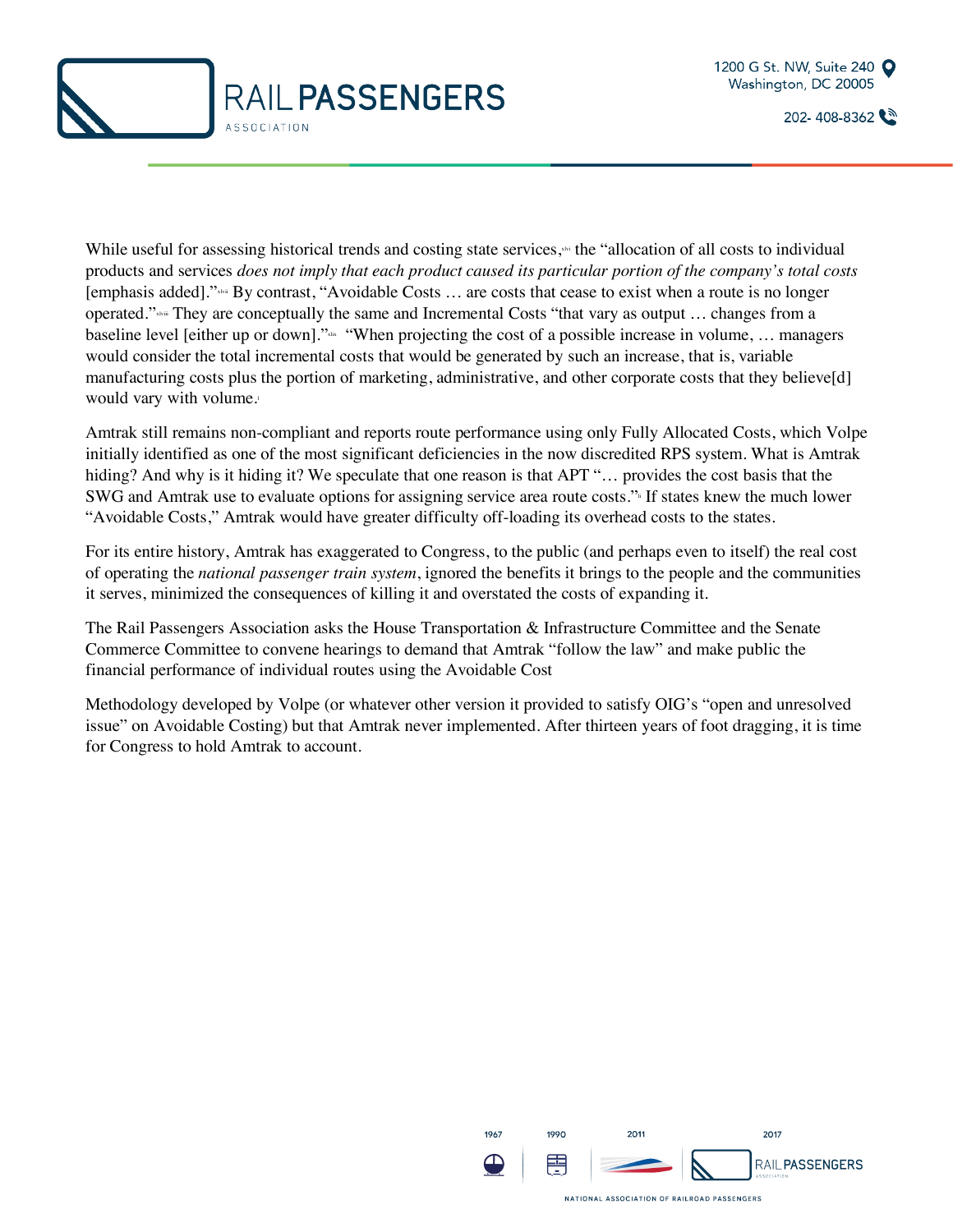



While useful for assessing historical trends and costing state services, $\cdot$  the "allocation of all costs to individual products and services *does not imply that each product caused its particular portion of the company's total costs* [emphasis added]."xlvii By contrast, "Avoidable Costs … are costs that cease to exist when a route is no longer operated." $x_{\text{num}}$  They are conceptually the same and Incremental Costs "that vary as output ... changes from a baseline level [either up or down]." When projecting the cost of a possible increase in volume, ... managers would consider the total incremental costs that would be generated by such an increase, that is, variable manufacturing costs plus the portion of marketing, administrative, and other corporate costs that they believe[d] would vary with volume.

Amtrak still remains non-compliant and reports route performance using only Fully Allocated Costs, which Volpe initially identified as one of the most significant deficiencies in the now discredited RPS system. What is Amtrak hiding? And why is it hiding it? We speculate that one reason is that APT "... provides the cost basis that the SWG and Amtrak use to evaluate options for assigning service area route costs." If states knew the much lower "Avoidable Costs," Amtrak would have greater difficulty off-loading its overhead costs to the states.

For its entire history, Amtrak has exaggerated to Congress, to the public (and perhaps even to itself) the real cost of operating the *national passenger train system*, ignored the benefits it brings to the people and the communities it serves, minimized the consequences of killing it and overstated the costs of expanding it.

The Rail Passengers Association asks the House Transportation & Infrastructure Committee and the Senate Commerce Committee to convene hearings to demand that Amtrak "follow the law" and make public the financial performance of individual routes using the Avoidable Cost

Methodology developed by Volpe (or whatever other version it provided to satisfy OIG's "open and unresolved issue" on Avoidable Costing) but that Amtrak never implemented. After thirteen years of foot dragging, it is time for Congress to hold Amtrak to account.

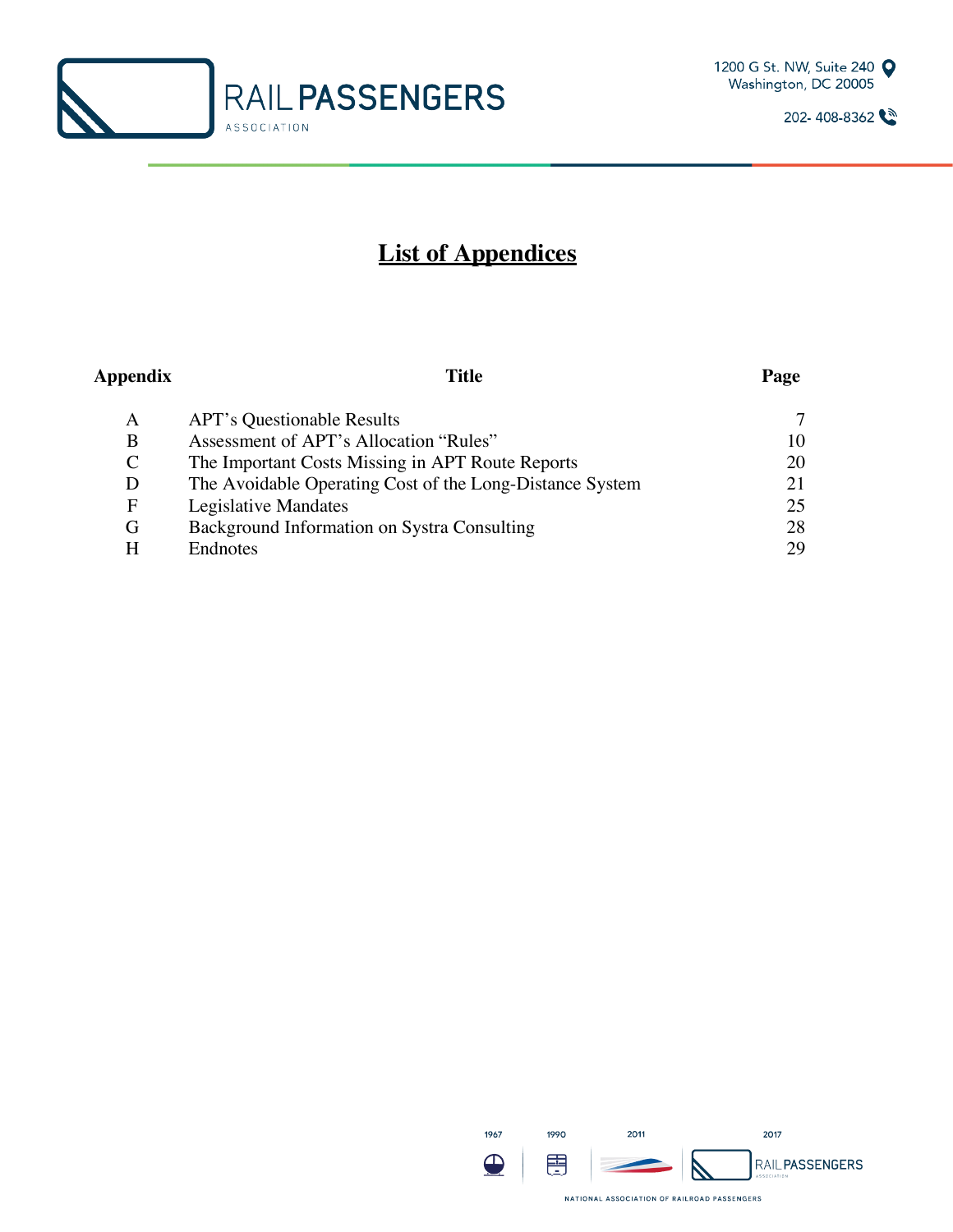



## **List of Appendices**

| Appendix    | Title                                                    | Page |
|-------------|----------------------------------------------------------|------|
| A           | <b>APT's Questionable Results</b>                        | 7    |
| B           | Assessment of APT's Allocation "Rules"                   | 10   |
| $\mathbf C$ | The Important Costs Missing in APT Route Reports         | 20   |
| D           | The Avoidable Operating Cost of the Long-Distance System |      |
| F           | Legislative Mandates                                     | 25   |
| G           | Background Information on Systra Consulting              | 28   |
| H           | Endnotes                                                 | 29   |

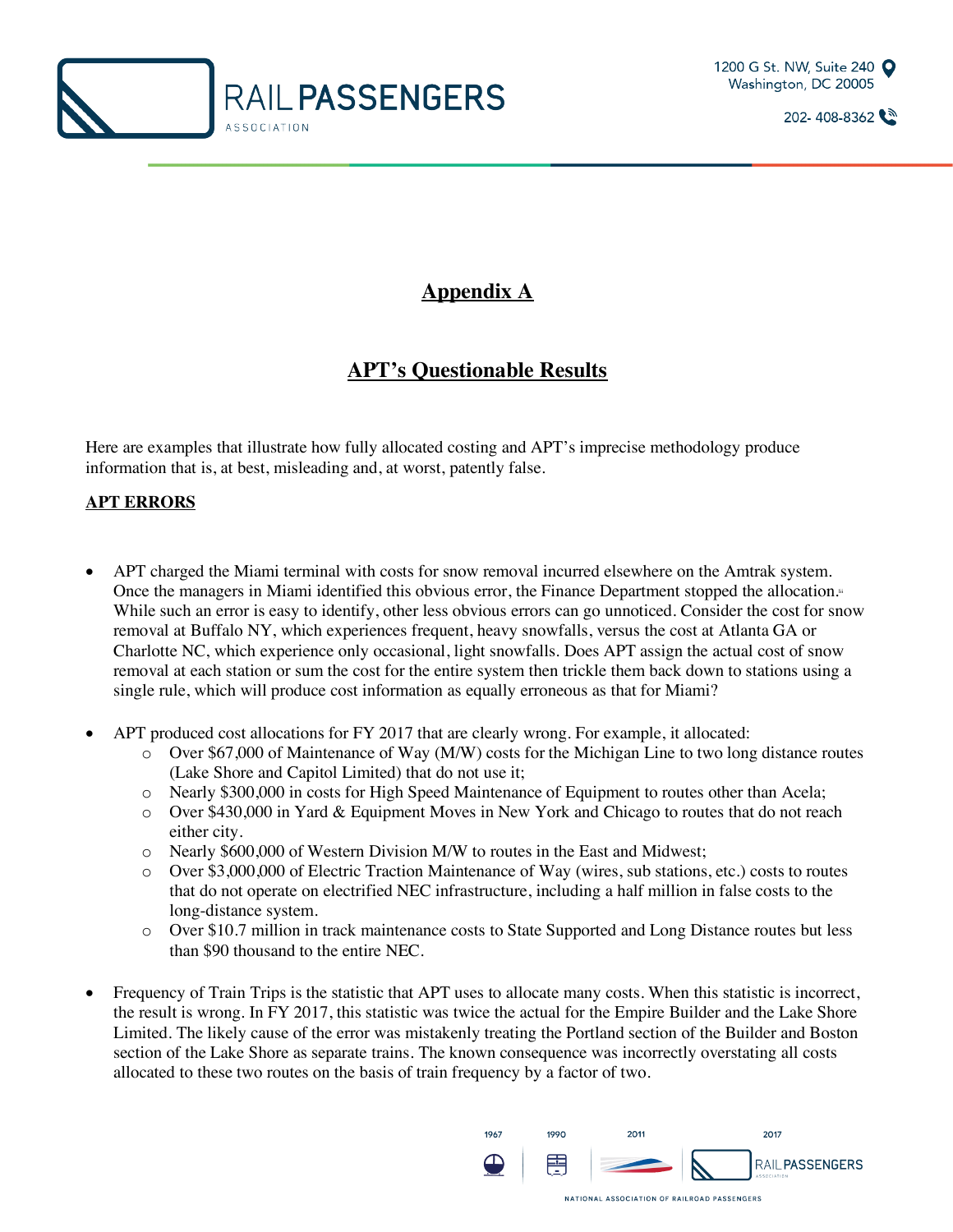



## **Appendix A**

## **APT's Questionable Results**

Here are examples that illustrate how fully allocated costing and APT's imprecise methodology produce information that is, at best, misleading and, at worst, patently false.

#### **APT ERRORS**

- APT charged the Miami terminal with costs for snow removal incurred elsewhere on the Amtrak system. Once the managers in Miami identified this obvious error, the Finance Department stopped the allocation.<sup>11</sup> While such an error is easy to identify, other less obvious errors can go unnoticed. Consider the cost for snow removal at Buffalo NY, which experiences frequent, heavy snowfalls, versus the cost at Atlanta GA or Charlotte NC, which experience only occasional, light snowfalls. Does APT assign the actual cost of snow removal at each station or sum the cost for the entire system then trickle them back down to stations using a single rule, which will produce cost information as equally erroneous as that for Miami?
- APT produced cost allocations for FY 2017 that are clearly wrong. For example, it allocated:
	- o Over \$67,000 of Maintenance of Way (M/W) costs for the Michigan Line to two long distance routes (Lake Shore and Capitol Limited) that do not use it;
	- o Nearly \$300,000 in costs for High Speed Maintenance of Equipment to routes other than Acela;
	- o Over \$430,000 in Yard & Equipment Moves in New York and Chicago to routes that do not reach either city.
	- o Nearly \$600,000 of Western Division M/W to routes in the East and Midwest;
	- o Over \$3,000,000 of Electric Traction Maintenance of Way (wires, sub stations, etc.) costs to routes that do not operate on electrified NEC infrastructure, including a half million in false costs to the long-distance system.
	- o Over \$10.7 million in track maintenance costs to State Supported and Long Distance routes but less than \$90 thousand to the entire NEC.
- Frequency of Train Trips is the statistic that APT uses to allocate many costs. When this statistic is incorrect, the result is wrong. In FY 2017, this statistic was twice the actual for the Empire Builder and the Lake Shore Limited. The likely cause of the error was mistakenly treating the Portland section of the Builder and Boston section of the Lake Shore as separate trains. The known consequence was incorrectly overstating all costs allocated to these two routes on the basis of train frequency by a factor of two.

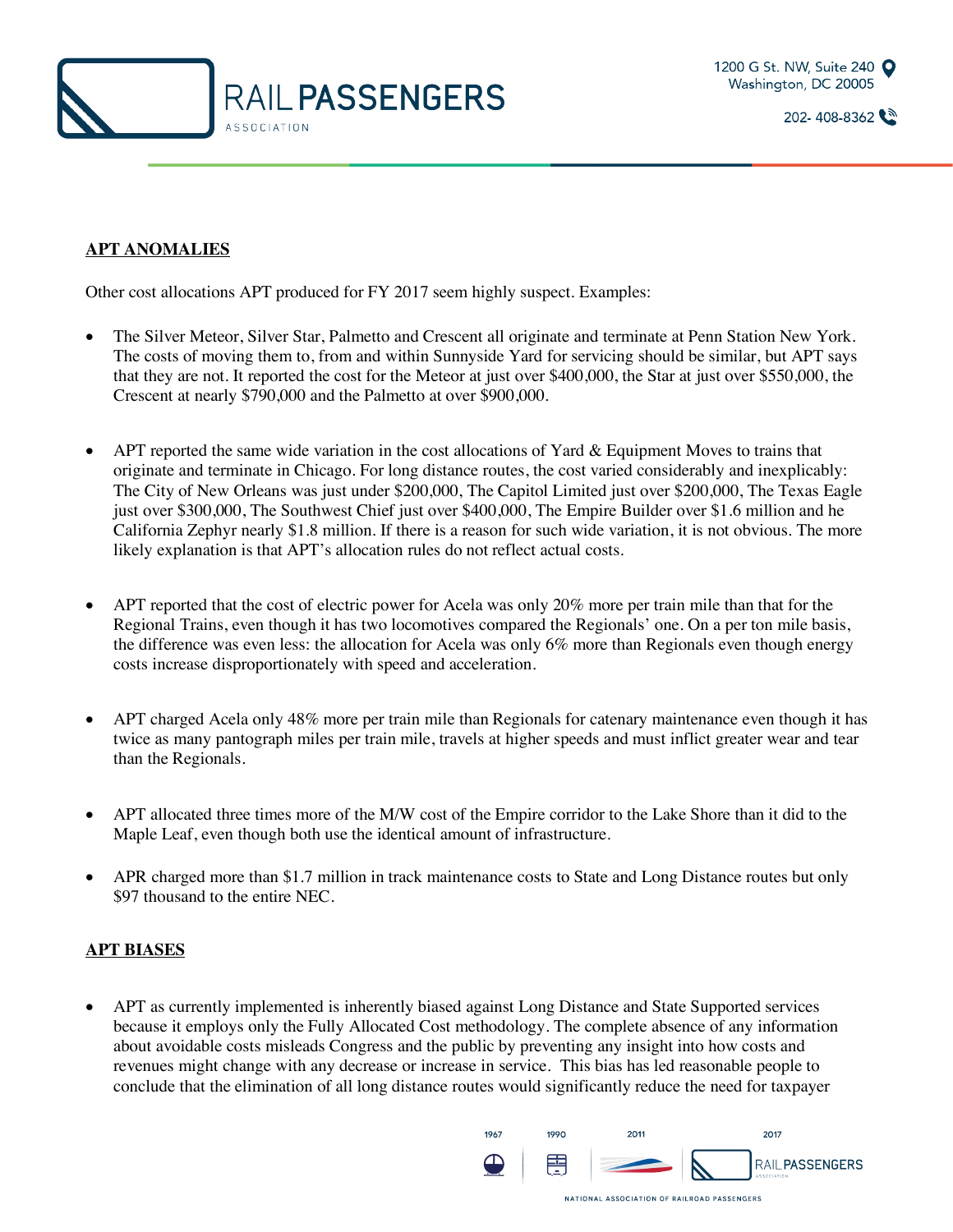

#### **APT ANOMALIES**

Other cost allocations APT produced for FY 2017 seem highly suspect. Examples:

- The Silver Meteor, Silver Star, Palmetto and Crescent all originate and terminate at Penn Station New York. The costs of moving them to, from and within Sunnyside Yard for servicing should be similar, but APT says that they are not. It reported the cost for the Meteor at just over \$400,000, the Star at just over \$550,000, the Crescent at nearly \$790,000 and the Palmetto at over \$900,000.
- APT reported the same wide variation in the cost allocations of Yard & Equipment Moves to trains that originate and terminate in Chicago. For long distance routes, the cost varied considerably and inexplicably: The City of New Orleans was just under \$200,000, The Capitol Limited just over \$200,000, The Texas Eagle just over \$300,000, The Southwest Chief just over \$400,000, The Empire Builder over \$1.6 million and he California Zephyr nearly \$1.8 million. If there is a reason for such wide variation, it is not obvious. The more likely explanation is that APT's allocation rules do not reflect actual costs.
- APT reported that the cost of electric power for Acela was only 20% more per train mile than that for the Regional Trains, even though it has two locomotives compared the Regionals' one. On a per ton mile basis, the difference was even less: the allocation for Acela was only 6% more than Regionals even though energy costs increase disproportionately with speed and acceleration.
- APT charged Acela only 48% more per train mile than Regionals for catenary maintenance even though it has twice as many pantograph miles per train mile, travels at higher speeds and must inflict greater wear and tear than the Regionals.
- APT allocated three times more of the M/W cost of the Empire corridor to the Lake Shore than it did to the Maple Leaf, even though both use the identical amount of infrastructure.
- APR charged more than \$1.7 million in track maintenance costs to State and Long Distance routes but only \$97 thousand to the entire NEC.

#### **APT BIASES**

• APT as currently implemented is inherently biased against Long Distance and State Supported services because it employs only the Fully Allocated Cost methodology. The complete absence of any information about avoidable costs misleads Congress and the public by preventing any insight into how costs and revenues might change with any decrease or increase in service. This bias has led reasonable people to conclude that the elimination of all long distance routes would significantly reduce the need for taxpayer

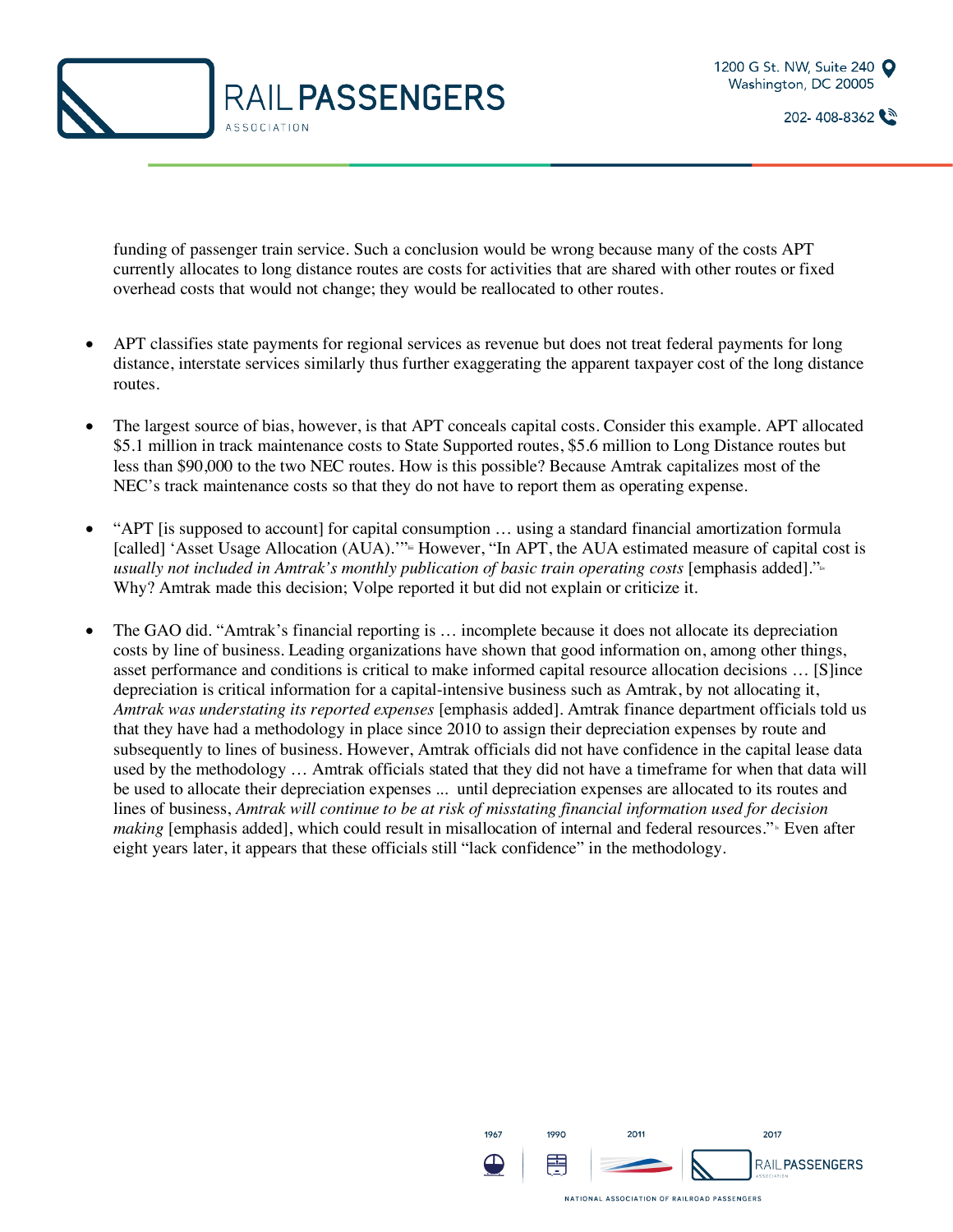



funding of passenger train service. Such a conclusion would be wrong because many of the costs APT currently allocates to long distance routes are costs for activities that are shared with other routes or fixed overhead costs that would not change; they would be reallocated to other routes.

- APT classifies state payments for regional services as revenue but does not treat federal payments for long distance, interstate services similarly thus further exaggerating the apparent taxpayer cost of the long distance routes.
- The largest source of bias, however, is that APT conceals capital costs. Consider this example. APT allocated \$5.1 million in track maintenance costs to State Supported routes, \$5.6 million to Long Distance routes but less than \$90,000 to the two NEC routes. How is this possible? Because Amtrak capitalizes most of the NEC's track maintenance costs so that they do not have to report them as operating expense.
- "APT [is supposed to account] for capital consumption ... using a standard financial amortization formula [called] 'Asset Usage Allocation (AUA)."<sup>"</sup> However, "In APT, the AUA estimated measure of capital cost is *usually not included in Amtrak's monthly publication of basic train operating costs* [emphasis added]."<sup>14</sup> Why? Amtrak made this decision; Volpe reported it but did not explain or criticize it.
- The GAO did. "Amtrak's financial reporting is … incomplete because it does not allocate its depreciation costs by line of business. Leading organizations have shown that good information on, among other things, asset performance and conditions is critical to make informed capital resource allocation decisions … [S]ince depreciation is critical information for a capital-intensive business such as Amtrak, by not allocating it, *Amtrak was understating its reported expenses* [emphasis added]. Amtrak finance department officials told us that they have had a methodology in place since 2010 to assign their depreciation expenses by route and subsequently to lines of business. However, Amtrak officials did not have confidence in the capital lease data used by the methodology … Amtrak officials stated that they did not have a timeframe for when that data will be used to allocate their depreciation expenses ... until depreciation expenses are allocated to its routes and lines of business, *Amtrak will continue to be at risk of misstating financial information used for decision making* [emphasis added], which could result in misallocation of internal and federal resources." Even after eight years later, it appears that these officials still "lack confidence" in the methodology.

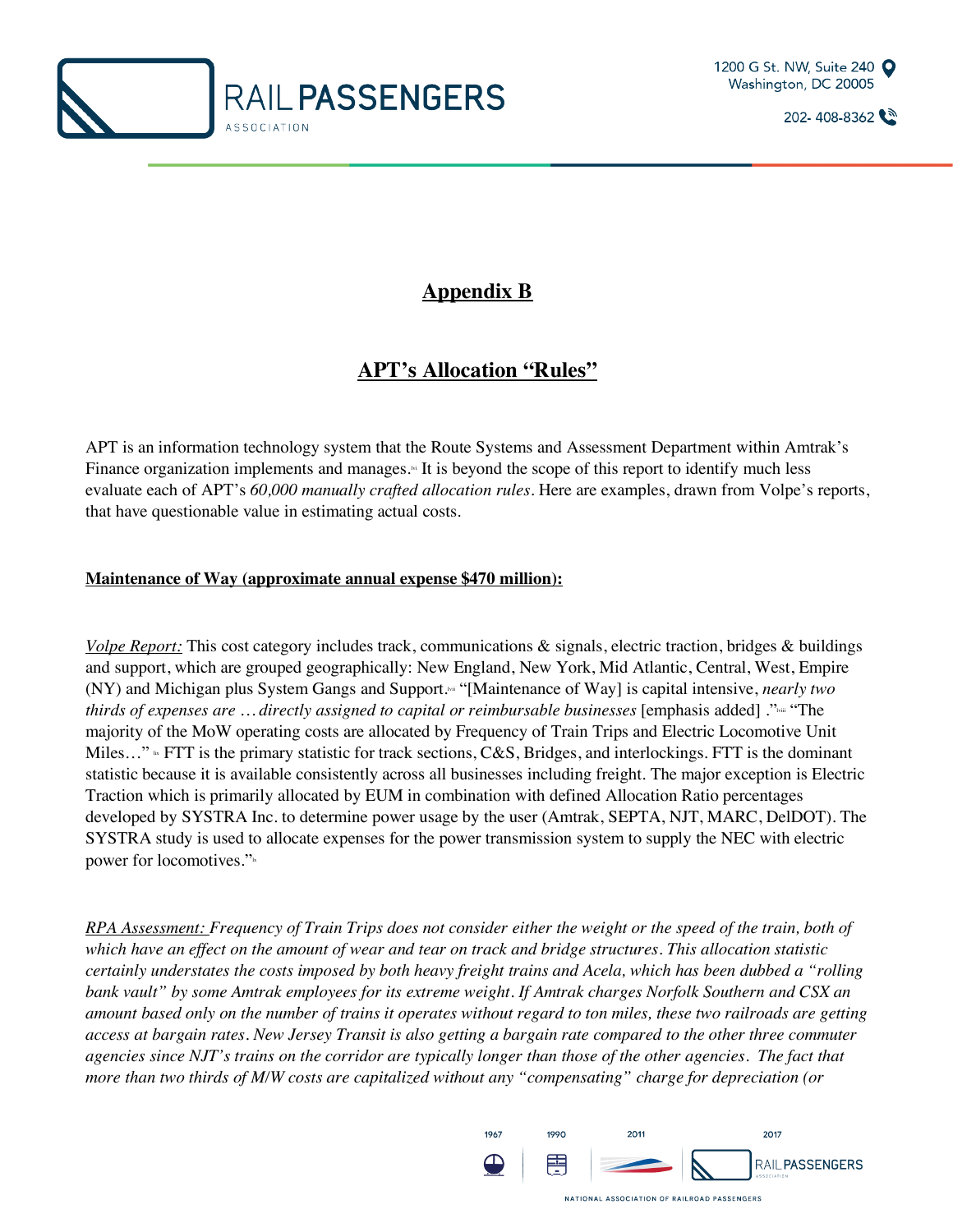



## **Appendix B**

## **APT's Allocation "Rules"**

APT is an information technology system that the Route Systems and Assessment Department within Amtrak's Finance organization implements and manages.<sup>14</sup> It is beyond the scope of this report to identify much less evaluate each of APT's *60,000 manually crafted allocation rules*. Here are examples, drawn from Volpe's reports, that have questionable value in estimating actual costs.

#### **Maintenance of Way (approximate annual expense \$470 million):**

*Volpe Report:* This cost category includes track, communications & signals, electric traction, bridges & buildings and support, which are grouped geographically: New England, New York, Mid Atlantic, Central, West, Empire (NY) and Michigan plus System Gangs and Support.<sup>84</sup> "[Maintenance of Way] is capital intensive, *nearly two thirds of expenses are ... directly assigned to capital or reimbursable businesses* [emphasis added] ."<sup>None</sup> "The majority of the MoW operating costs are allocated by Frequency of Train Trips and Electric Locomotive Unit Miles..."  $\cdot$  FTT is the primary statistic for track sections, C&S, Bridges, and interlockings. FTT is the dominant statistic because it is available consistently across all businesses including freight. The major exception is Electric Traction which is primarily allocated by EUM in combination with defined Allocation Ratio percentages developed by SYSTRA Inc. to determine power usage by the user (Amtrak, SEPTA, NJT, MARC, DelDOT). The SYSTRA study is used to allocate expenses for the power transmission system to supply the NEC with electric power for locomotives."

*RPA Assessment: Frequency of Train Trips does not consider either the weight or the speed of the train, both of which have an effect on the amount of wear and tear on track and bridge structures. This allocation statistic certainly understates the costs imposed by both heavy freight trains and Acela, which has been dubbed a "rolling bank vault" by some Amtrak employees for its extreme weight. If Amtrak charges Norfolk Southern and CSX an amount based only on the number of trains it operates without regard to ton miles, these two railroads are getting access at bargain rates. New Jersey Transit is also getting a bargain rate compared to the other three commuter agencies since NJT's trains on the corridor are typically longer than those of the other agencies. The fact that more than two thirds of M/W costs are capitalized without any "compensating" charge for depreciation (or* 

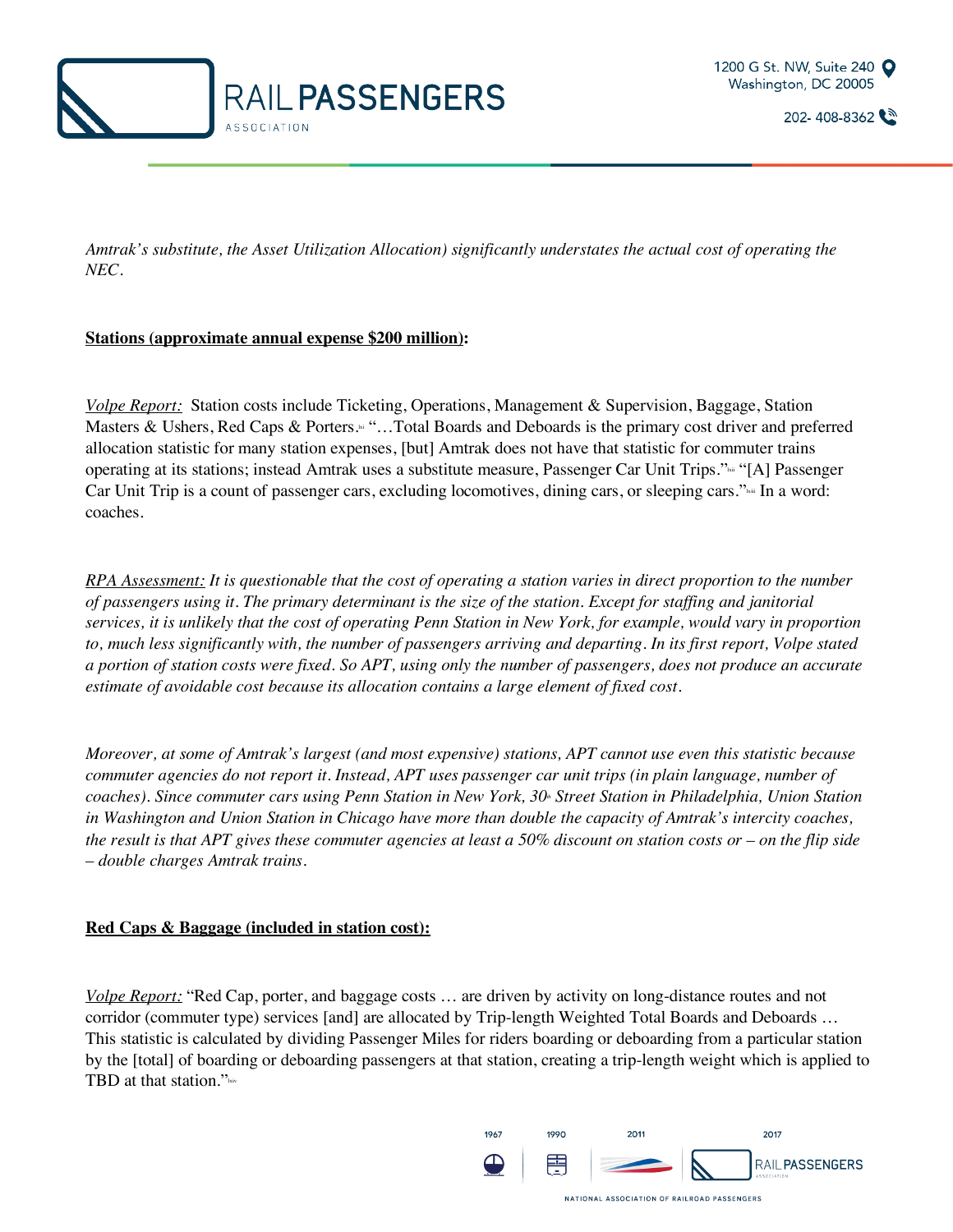



*Amtrak's substitute, the Asset Utilization Allocation) significantly understates the actual cost of operating the NEC.* 

#### **Stations (approximate annual expense \$200 million):**

*Volpe Report:* Station costs include Ticketing, Operations, Management & Supervision, Baggage, Station Masters & Ushers, Red Caps & Porters.<sup>14</sup> "...Total Boards and Deboards is the primary cost driver and preferred allocation statistic for many station expenses, [but] Amtrak does not have that statistic for commuter trains operating at its stations; instead Amtrak uses a substitute measure, Passenger Car Unit Trips."lxii "[A] Passenger Car Unit Trip is a count of passenger cars, excluding locomotives, dining cars, or sleeping cars." $\cdot$  In a word: coaches.

*RPA Assessment: It is questionable that the cost of operating a station varies in direct proportion to the number of passengers using it. The primary determinant is the size of the station. Except for staffing and janitorial services, it is unlikely that the cost of operating Penn Station in New York, for example, would vary in proportion to, much less significantly with, the number of passengers arriving and departing. In its first report, Volpe stated a portion of station costs were fixed. So APT, using only the number of passengers, does not produce an accurate estimate of avoidable cost because its allocation contains a large element of fixed cost.* 

*Moreover, at some of Amtrak's largest (and most expensive) stations, APT cannot use even this statistic because commuter agencies do not report it. Instead, APT uses passenger car unit trips (in plain language, number of coaches). Since commuter cars using Penn Station in New York, 30<sup><i>k*</sup> Street Station in Philadelphia, Union Station *in Washington and Union Station in Chicago have more than double the capacity of Amtrak's intercity coaches, the result is that APT gives these commuter agencies at least a 50% discount on station costs or – on the flip side – double charges Amtrak trains.* 

#### **Red Caps & Baggage (included in station cost):**

*Volpe Report:* "Red Cap, porter, and baggage costs … are driven by activity on long-distance routes and not corridor (commuter type) services [and] are allocated by Trip-length Weighted Total Boards and Deboards ... This statistic is calculated by dividing Passenger Miles for riders boarding or deboarding from a particular station by the [total] of boarding or deboarding passengers at that station, creating a trip-length weight which is applied to TBD at that station." $\frac{1}{\text{kiv}}$ 

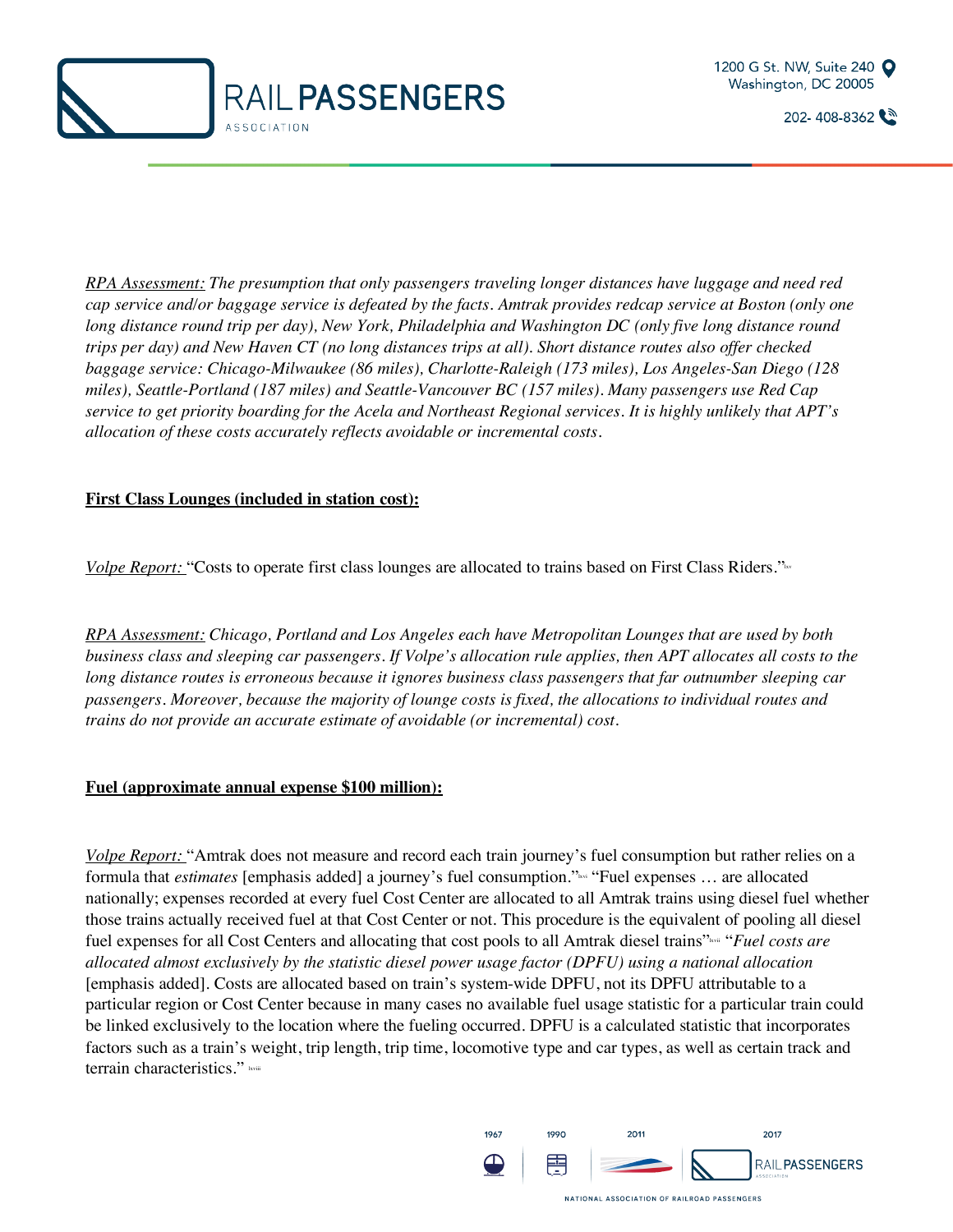



*RPA Assessment: The presumption that only passengers traveling longer distances have luggage and need red cap service and/or baggage service is defeated by the facts. Amtrak provides redcap service at Boston (only one long distance round trip per day), New York, Philadelphia and Washington DC (only five long distance round trips per day) and New Haven CT (no long distances trips at all). Short distance routes also offer checked baggage service: Chicago-Milwaukee (86 miles), Charlotte-Raleigh (173 miles), Los Angeles-San Diego (128 miles), Seattle-Portland (187 miles) and Seattle-Vancouver BC (157 miles). Many passengers use Red Cap service to get priority boarding for the Acela and Northeast Regional services. It is highly unlikely that APT's allocation of these costs accurately reflects avoidable or incremental costs.* 

#### **First Class Lounges (included in station cost):**

*Volpe Report:* "Costs to operate first class lounges are allocated to trains based on First Class Riders."

*RPA Assessment: Chicago, Portland and Los Angeles each have Metropolitan Lounges that are used by both business class and sleeping car passengers. If Volpe's allocation rule applies, then APT allocates all costs to the long distance routes is erroneous because it ignores business class passengers that far outnumber sleeping car passengers. Moreover, because the majority of lounge costs is fixed, the allocations to individual routes and trains do not provide an accurate estimate of avoidable (or incremental) cost.*

#### **Fuel (approximate annual expense \$100 million):**

*Volpe Report:* "Amtrak does not measure and record each train journey's fuel consumption but rather relies on a formula that *estimates* [emphasis added] a journey's fuel consumption."lxvi "Fuel expenses … are allocated nationally; expenses recorded at every fuel Cost Center are allocated to all Amtrak trains using diesel fuel whether those trains actually received fuel at that Cost Center or not. This procedure is the equivalent of pooling all diesel fuel expenses for all Cost Centers and allocating that cost pools to all Amtrak diesel trains"<sup>xxii</sup> "*Fuel costs are allocated almost exclusively by the statistic diesel power usage factor (DPFU) using a national allocation* [emphasis added]. Costs are allocated based on train's system-wide DPFU, not its DPFU attributable to a particular region or Cost Center because in many cases no available fuel usage statistic for a particular train could be linked exclusively to the location where the fueling occurred. DPFU is a calculated statistic that incorporates factors such as a train's weight, trip length, trip time, locomotive type and car types, as well as certain track and terrain characteristics." kviii

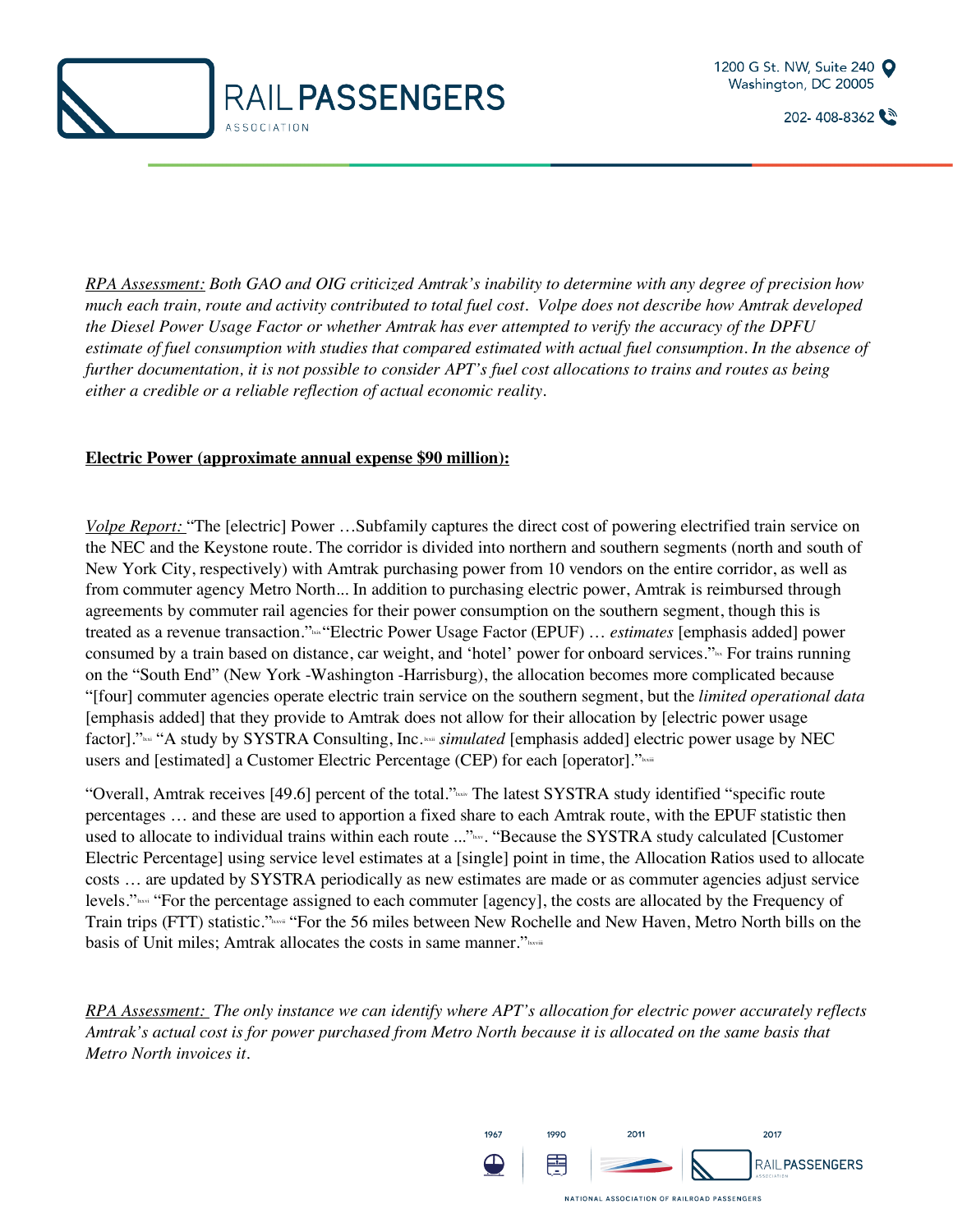



*RPA Assessment: Both GAO and OIG criticized Amtrak's inability to determine with any degree of precision how much each train, route and activity contributed to total fuel cost. Volpe does not describe how Amtrak developed the Diesel Power Usage Factor or whether Amtrak has ever attempted to verify the accuracy of the DPFU*  estimate of fuel consumption with studies that compared estimated with actual fuel consumption. In the absence of *further documentation, it is not possible to consider APT's fuel cost allocations to trains and routes as being either a credible or a reliable reflection of actual economic reality.* 

#### **Electric Power (approximate annual expense \$90 million):**

*Volpe Report:* "The [electric] Power …Subfamily captures the direct cost of powering electrified train service on the NEC and the Keystone route. The corridor is divided into northern and southern segments (north and south of New York City, respectively) with Amtrak purchasing power from 10 vendors on the entire corridor, as well as from commuter agency Metro North... In addition to purchasing electric power, Amtrak is reimbursed through agreements by commuter rail agencies for their power consumption on the southern segment, though this is treated as a revenue transaction."<sup>kki</sup> "Electric Power Usage Factor (EPUF) ... *estimates* [emphasis added] power consumed by a train based on distance, car weight, and 'hotel' power for onboard services."<sup>1</sup> For trains running on the "South End" (New York -Washington -Harrisburg), the allocation becomes more complicated because "[four] commuter agencies operate electric train service on the southern segment, but the *limited operational data* [emphasis added] that they provide to Amtrak does not allow for their allocation by [electric power usage factor]."<sup>264</sup> "A study by SYSTRA Consulting, Inc. <sup>164</sup> *simulated* [emphasis added] electric power usage by NEC users and [estimated] a Customer Electric Percentage (CEP) for each [operator]."

"Overall, Amtrak receives [49.6] percent of the total."
<sub>laxiv</sub> The latest SYSTRA study identified "specific route percentages … and these are used to apportion a fixed share to each Amtrak route, with the EPUF statistic then used to allocate to individual trains within each route ..."www. "Because the SYSTRA study calculated [Customer Electric Percentage] using service level estimates at a [single] point in time, the Allocation Ratios used to allocate costs … are updated by SYSTRA periodically as new estimates are made or as commuter agencies adjust service levels." $\frac{N_{\text{loss}}}{N_{\text{loss}}}$  "For the percentage assigned to each commuter [agency], the costs are allocated by the Frequency of Train trips (FTT) statistic." Kaxan "For the 56 miles between New Rochelle and New Haven, Metro North bills on the basis of Unit miles; Amtrak allocates the costs in same manner."

*RPA Assessment: The only instance we can identify where APT's allocation for electric power accurately reflects Amtrak's actual cost is for power purchased from Metro North because it is allocated on the same basis that Metro North invoices it.* 

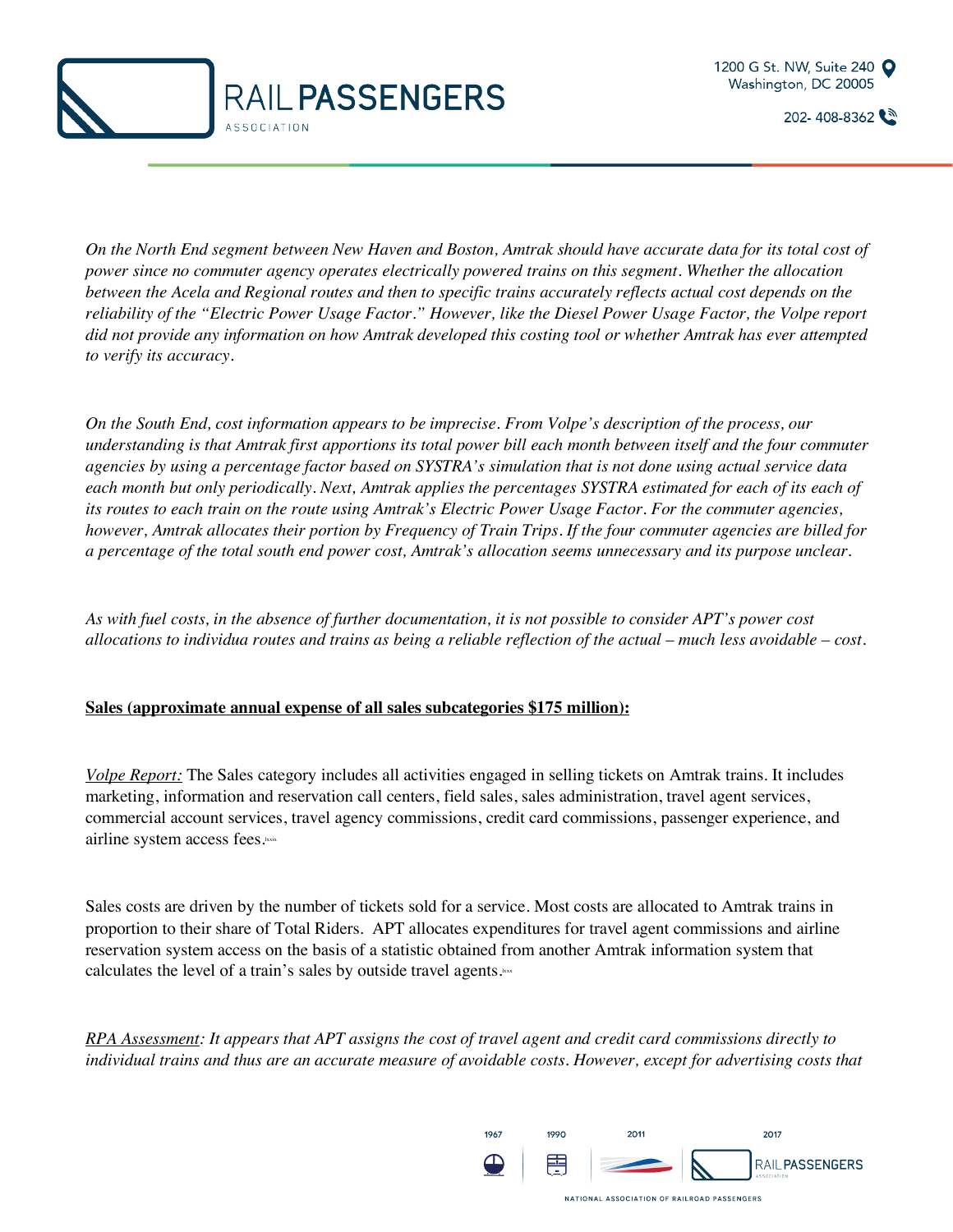



*On the North End segment between New Haven and Boston, Amtrak should have accurate data for its total cost of power since no commuter agency operates electrically powered trains on this segment. Whether the allocation between the Acela and Regional routes and then to specific trains accurately reflects actual cost depends on the reliability of the "Electric Power Usage Factor." However, like the Diesel Power Usage Factor, the Volpe report did not provide any information on how Amtrak developed this costing tool or whether Amtrak has ever attempted to verify its accuracy.* 

*On the South End, cost information appears to be imprecise. From Volpe's description of the process, our understanding is that Amtrak first apportions its total power bill each month between itself and the four commuter agencies by using a percentage factor based on SYSTRA's simulation that is not done using actual service data*  each month but only periodically. Next, Amtrak applies the percentages SYSTRA estimated for each of its each of *its routes to each train on the route using Amtrak's Electric Power Usage Factor. For the commuter agencies, however, Amtrak allocates their portion by Frequency of Train Trips. If the four commuter agencies are billed for a percentage of the total south end power cost, Amtrak's allocation seems unnecessary and its purpose unclear.* 

*As with fuel costs, in the absence of further documentation, it is not possible to consider APT's power cost allocations to individua routes and trains as being a reliable reflection of the actual – much less avoidable – cost.* 

#### **Sales (approximate annual expense of all sales subcategories \$175 million):**

*Volpe Report:* The Sales category includes all activities engaged in selling tickets on Amtrak trains. It includes marketing, information and reservation call centers, field sales, sales administration, travel agent services, commercial account services, travel agency commissions, credit card commissions, passenger experience, and airline system access fees.**kxix** 

Sales costs are driven by the number of tickets sold for a service. Most costs are allocated to Amtrak trains in proportion to their share of Total Riders. APT allocates expenditures for travel agent commissions and airline reservation system access on the basis of a statistic obtained from another Amtrak information system that calculates the level of a train's sales by outside travel agents. $\frac{1}{x}$ 

*RPA Assessment: It appears that APT assigns the cost of travel agent and credit card commissions directly to individual trains and thus are an accurate measure of avoidable costs. However, except for advertising costs that* 

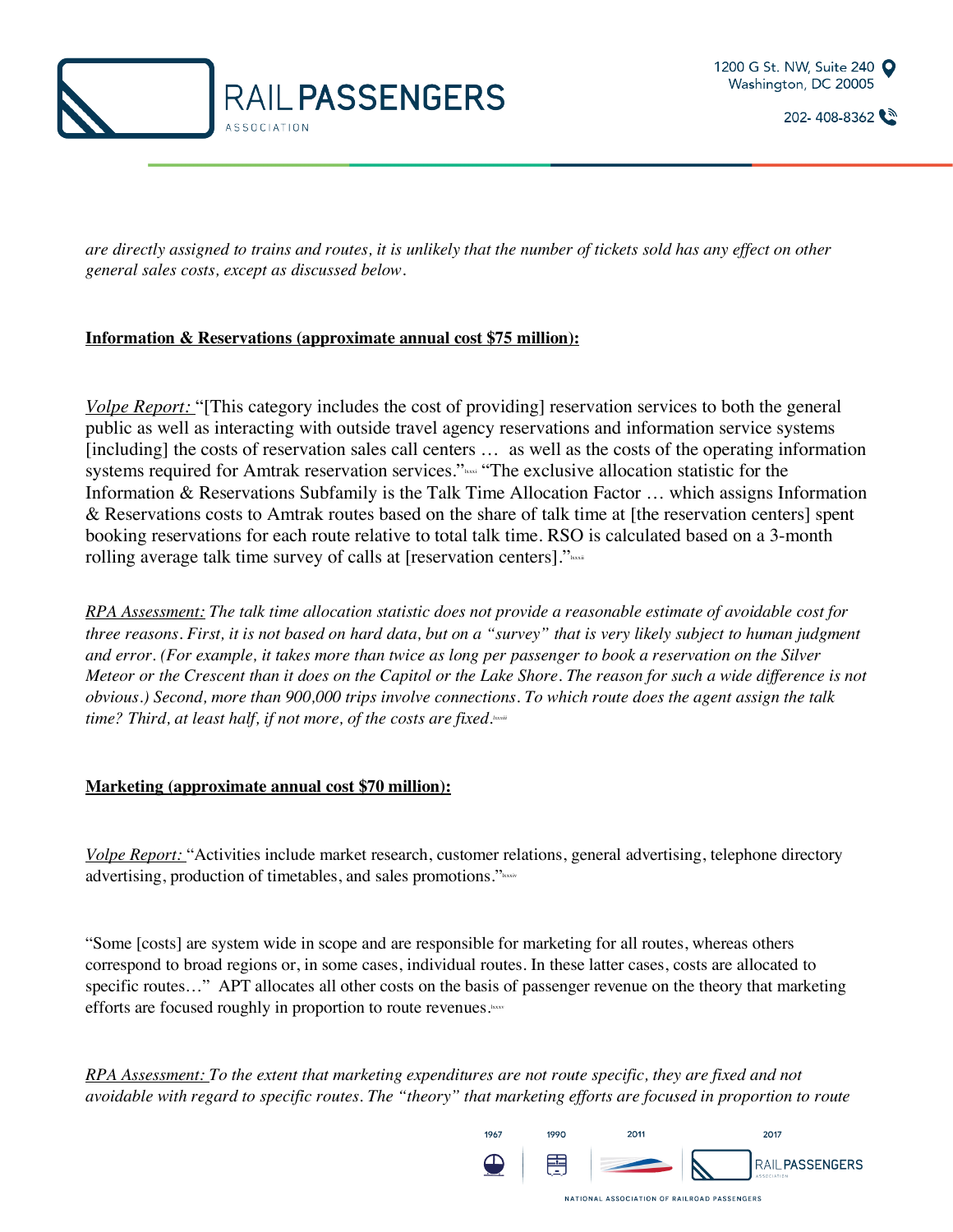



*are directly assigned to trains and routes, it is unlikely that the number of tickets sold has any effect on other general sales costs, except as discussed below.* 

#### **Information & Reservations (approximate annual cost \$75 million):**

*Volpe Report:* "[This category includes the cost of providing] reservation services to both the general public as well as interacting with outside travel agency reservations and information service systems [including] the costs of reservation sales call centers ... as well as the costs of the operating information systems required for Amtrak reservation services."<sup>2</sup>xxxi "The exclusive allocation statistic for the Information & Reservations Subfamily is the Talk Time Allocation Factor … which assigns Information & Reservations costs to Amtrak routes based on the share of talk time at [the reservation centers] spent booking reservations for each route relative to total talk time. RSO is calculated based on a 3-month rolling average talk time survey of calls at [reservation centers]."

*RPA Assessment: The talk time allocation statistic does not provide a reasonable estimate of avoidable cost for three reasons. First, it is not based on hard data, but on a "survey" that is very likely subject to human judgment and error. (For example, it takes more than twice as long per passenger to book a reservation on the Silver Meteor or the Crescent than it does on the Capitol or the Lake Shore. The reason for such a wide difference is not obvious.) Second, more than 900,000 trips involve connections. To which route does the agent assign the talk*  time? Third, at least half, if not more, of the costs are fixed.

#### **Marketing (approximate annual cost \$70 million):**

*Volpe Report:* "Activities include market research, customer relations, general advertising, telephone directory advertising, production of timetables, and sales promotions."

"Some [costs] are system wide in scope and are responsible for marketing for all routes, whereas others correspond to broad regions or, in some cases, individual routes. In these latter cases, costs are allocated to specific routes..." APT allocates all other costs on the basis of passenger revenue on the theory that marketing efforts are focused roughly in proportion to route revenues.

*RPA Assessment: To the extent that marketing expenditures are not route specific, they are fixed and not avoidable with regard to specific routes. The "theory" that marketing efforts are focused in proportion to route* 

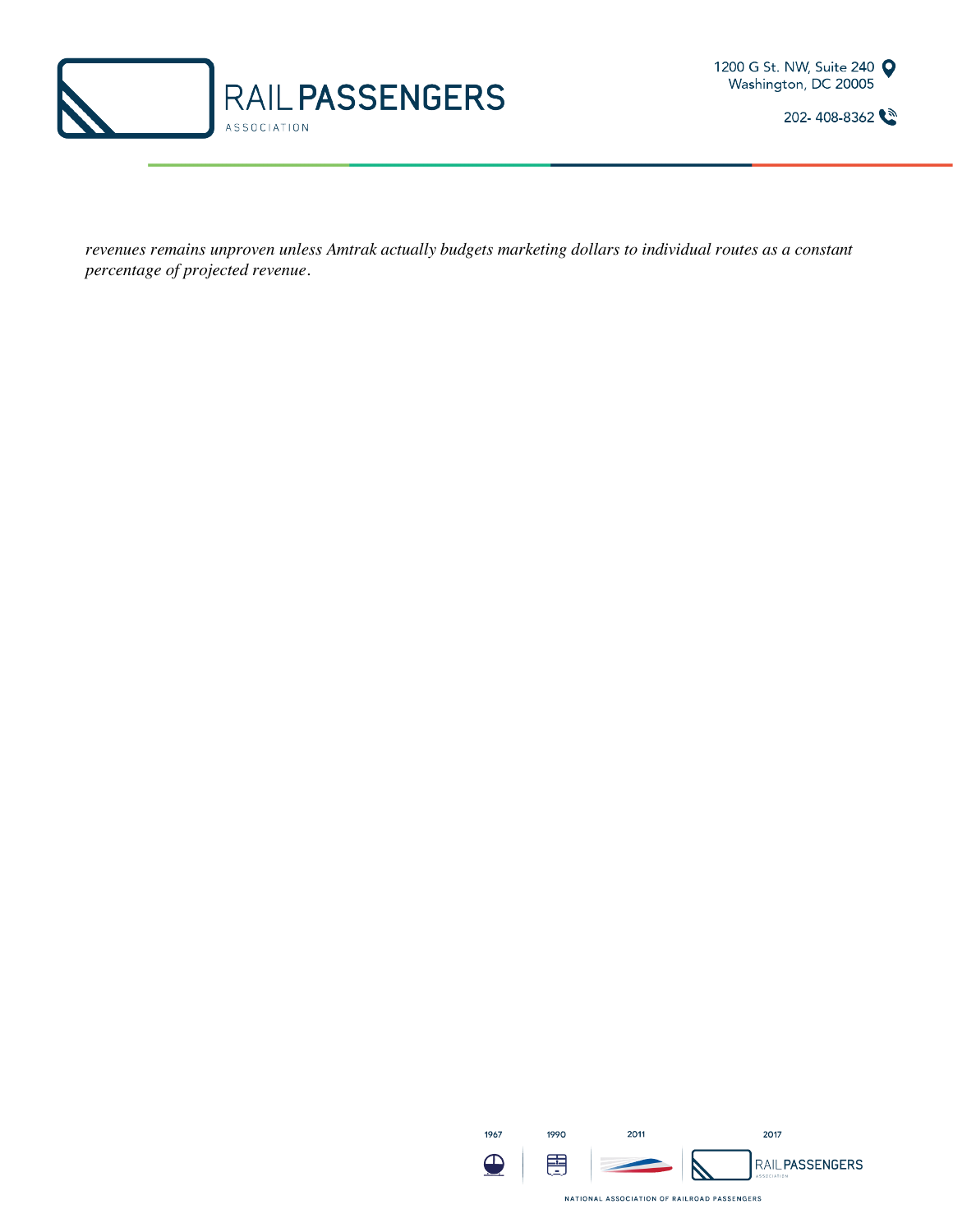



*revenues remains unproven unless Amtrak actually budgets marketing dollars to individual routes as a constant percentage of projected revenue.*

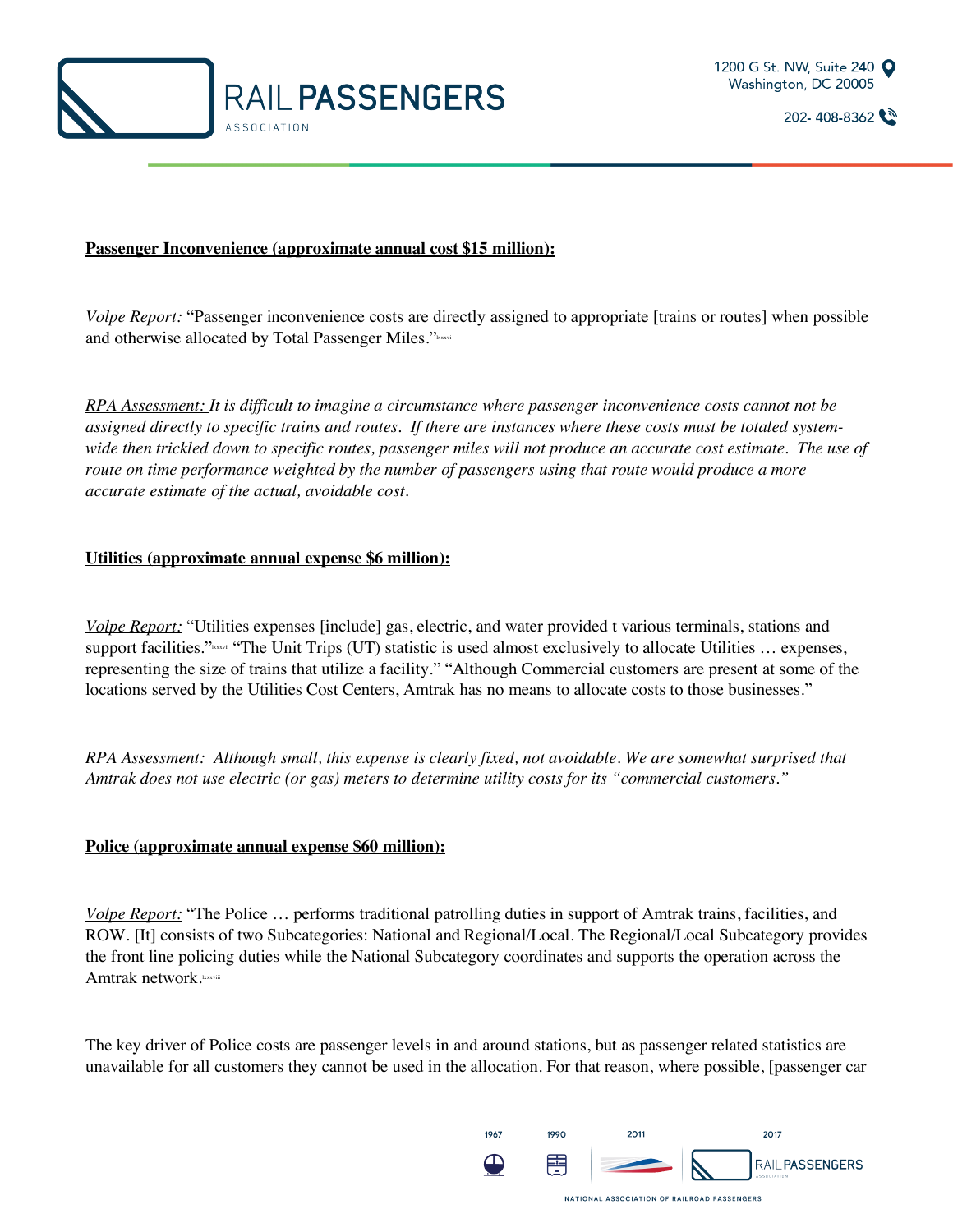



#### **Passenger Inconvenience (approximate annual cost \$15 million):**

*Volpe Report:* "Passenger inconvenience costs are directly assigned to appropriate [trains or routes] when possible and otherwise allocated by Total Passenger Miles."<sup>lxxxv</sup>i

*RPA Assessment: It is difficult to imagine a circumstance where passenger inconvenience costs cannot not be assigned directly to specific trains and routes. If there are instances where these costs must be totaled systemwide then trickled down to specific routes, passenger miles will not produce an accurate cost estimate. The use of route on time performance weighted by the number of passengers using that route would produce a more accurate estimate of the actual, avoidable cost.*

#### **Utilities (approximate annual expense \$6 million):**

*Volpe Report:* "Utilities expenses [include] gas, electric, and water provided t various terminals, stations and support facilities."<sup>www</sup>if "The Unit Trips (UT) statistic is used almost exclusively to allocate Utilities ... expenses, representing the size of trains that utilize a facility." "Although Commercial customers are present at some of the locations served by the Utilities Cost Centers, Amtrak has no means to allocate costs to those businesses."

*RPA Assessment: Although small, this expense is clearly fixed, not avoidable. We are somewhat surprised that Amtrak does not use electric (or gas) meters to determine utility costs for its "commercial customers."* 

#### **Police (approximate annual expense \$60 million):**

*Volpe Report:* "The Police … performs traditional patrolling duties in support of Amtrak trains, facilities, and ROW. [It] consists of two Subcategories: National and Regional/Local. The Regional/Local Subcategory provides the front line policing duties while the National Subcategory coordinates and supports the operation across the Amtrak network.

The key driver of Police costs are passenger levels in and around stations, but as passenger related statistics are unavailable for all customers they cannot be used in the allocation. For that reason, where possible, [passenger car

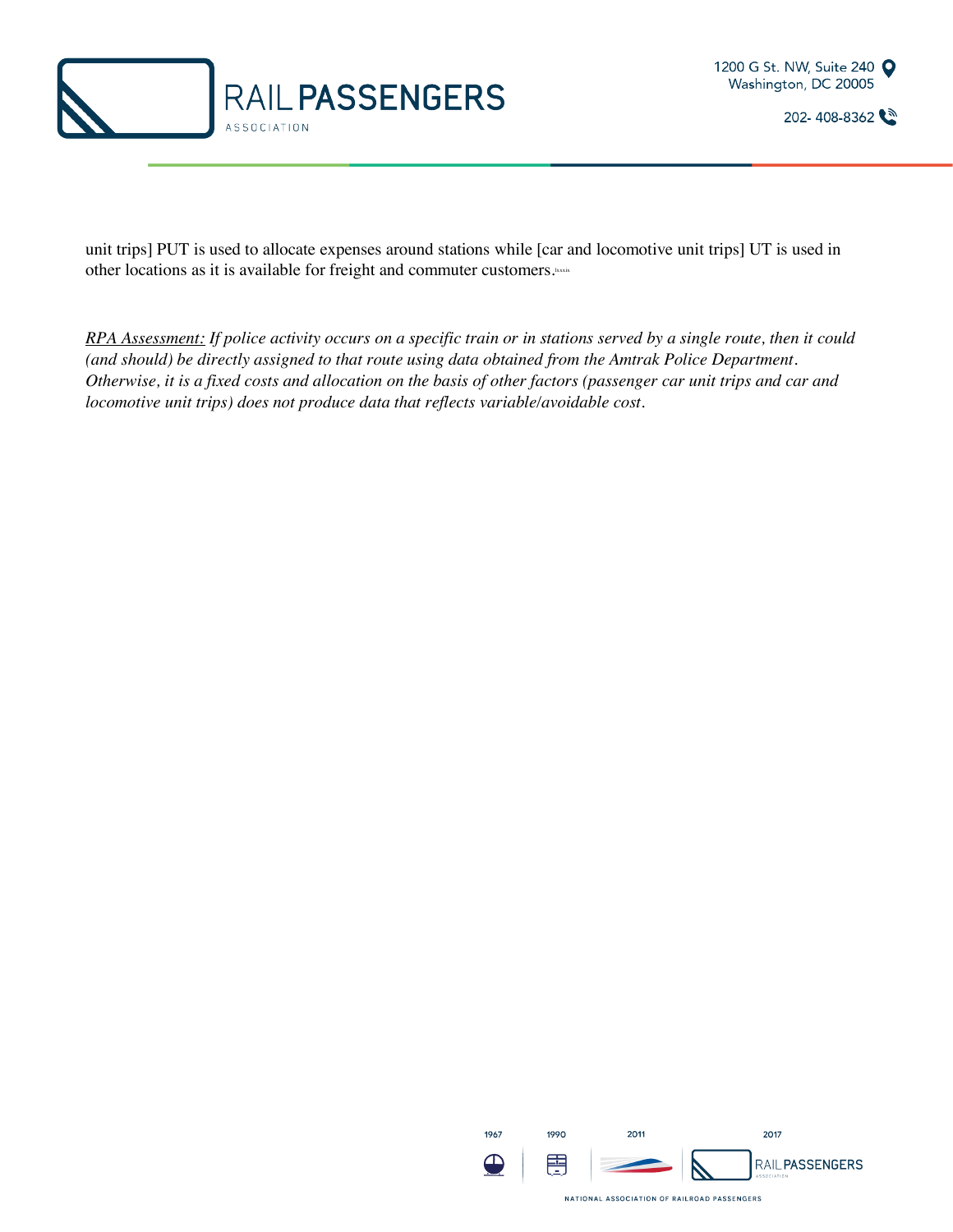



unit trips] PUT is used to allocate expenses around stations while [car and locomotive unit trips] UT is used in other locations as it is available for freight and commuter customers.

*RPA Assessment: If police activity occurs on a specific train or in stations served by a single route, then it could (and should) be directly assigned to that route using data obtained from the Amtrak Police Department. Otherwise, it is a fixed costs and allocation on the basis of other factors (passenger car unit trips and car and locomotive unit trips) does not produce data that reflects variable/avoidable cost.*

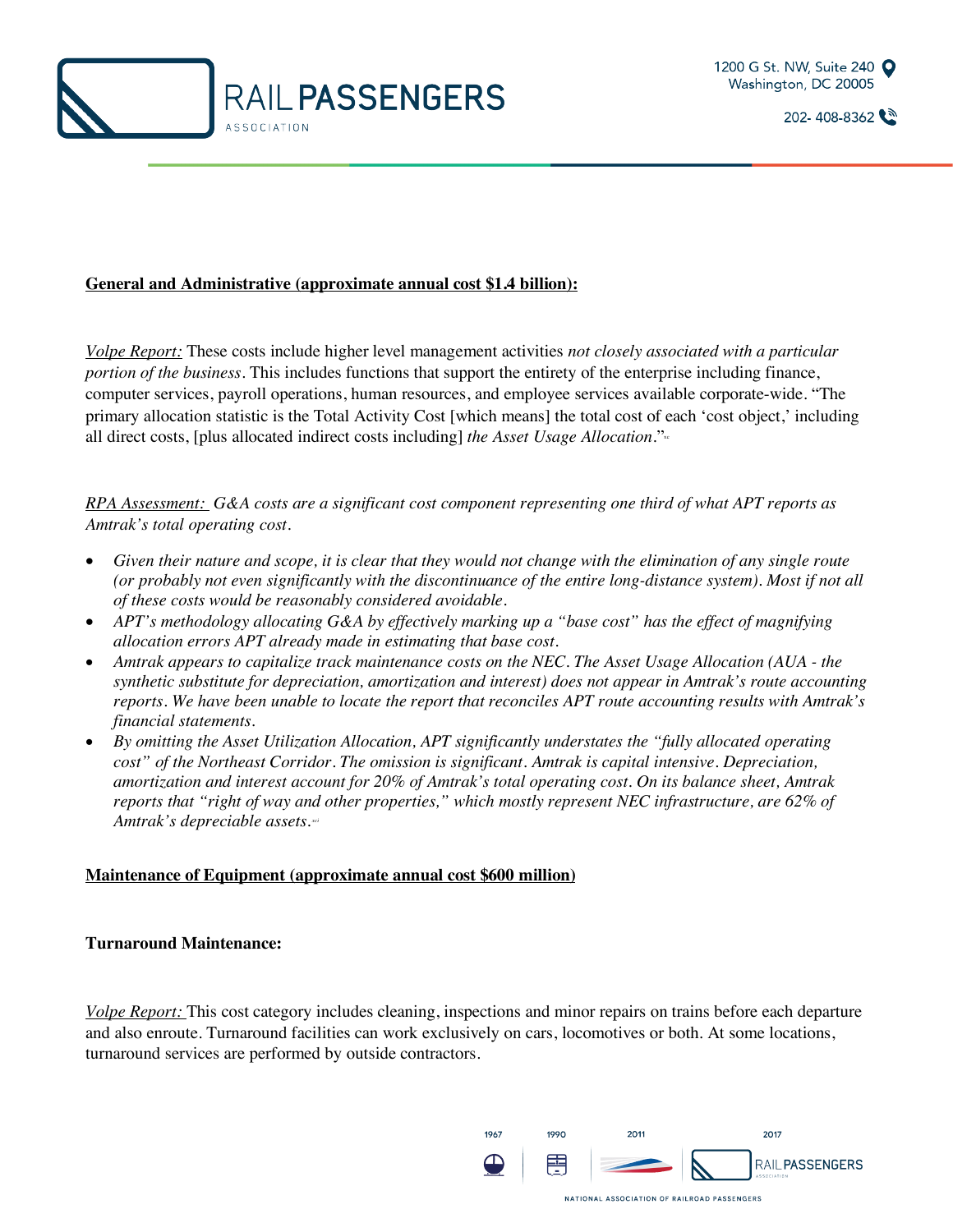

#### **General and Administrative (approximate annual cost \$1.4 billion):**

*Volpe Report:* These costs include higher level management activities *not closely associated with a particular portion of the business*. This includes functions that support the entirety of the enterprise including finance, computer services, payroll operations, human resources, and employee services available corporate-wide. "The primary allocation statistic is the Total Activity Cost [which means] the total cost of each 'cost object,' including all direct costs, [plus allocated indirect costs including] *the Asset Usage Allocation*."<sup>xc</sup>

*RPA Assessment: G&A costs are a significant cost component representing one third of what APT reports as Amtrak's total operating cost.*

- *Given their nature and scope, it is clear that they would not change with the elimination of any single route (or probably not even significantly with the discontinuance of the entire long-distance system). Most if not all of these costs would be reasonably considered avoidable.*
- *APT's methodology allocating G&A by effectively marking up a "base cost" has the effect of magnifying allocation errors APT already made in estimating that base cost.*
- *Amtrak appears to capitalize track maintenance costs on the NEC. The Asset Usage Allocation (AUA - the synthetic substitute for depreciation, amortization and interest) does not appear in Amtrak's route accounting reports. We have been unable to locate the report that reconciles APT route accounting results with Amtrak's financial statements.*
- *By omitting the Asset Utilization Allocation, APT significantly understates the "fully allocated operating cost" of the Northeast Corridor. The omission is significant. Amtrak is capital intensive. Depreciation, amortization and interest account for 20% of Amtrak's total operating cost. On its balance sheet, Amtrak reports that "right of way and other properties," which mostly represent NEC infrastructure, are 62% of Amtrak's depreciable assets. xci*

#### **Maintenance of Equipment (approximate annual cost \$600 million)**

#### **Turnaround Maintenance:**

*Volpe Report:* This cost category includes cleaning, inspections and minor repairs on trains before each departure and also enroute. Turnaround facilities can work exclusively on cars, locomotives or both. At some locations, turnaround services are performed by outside contractors.

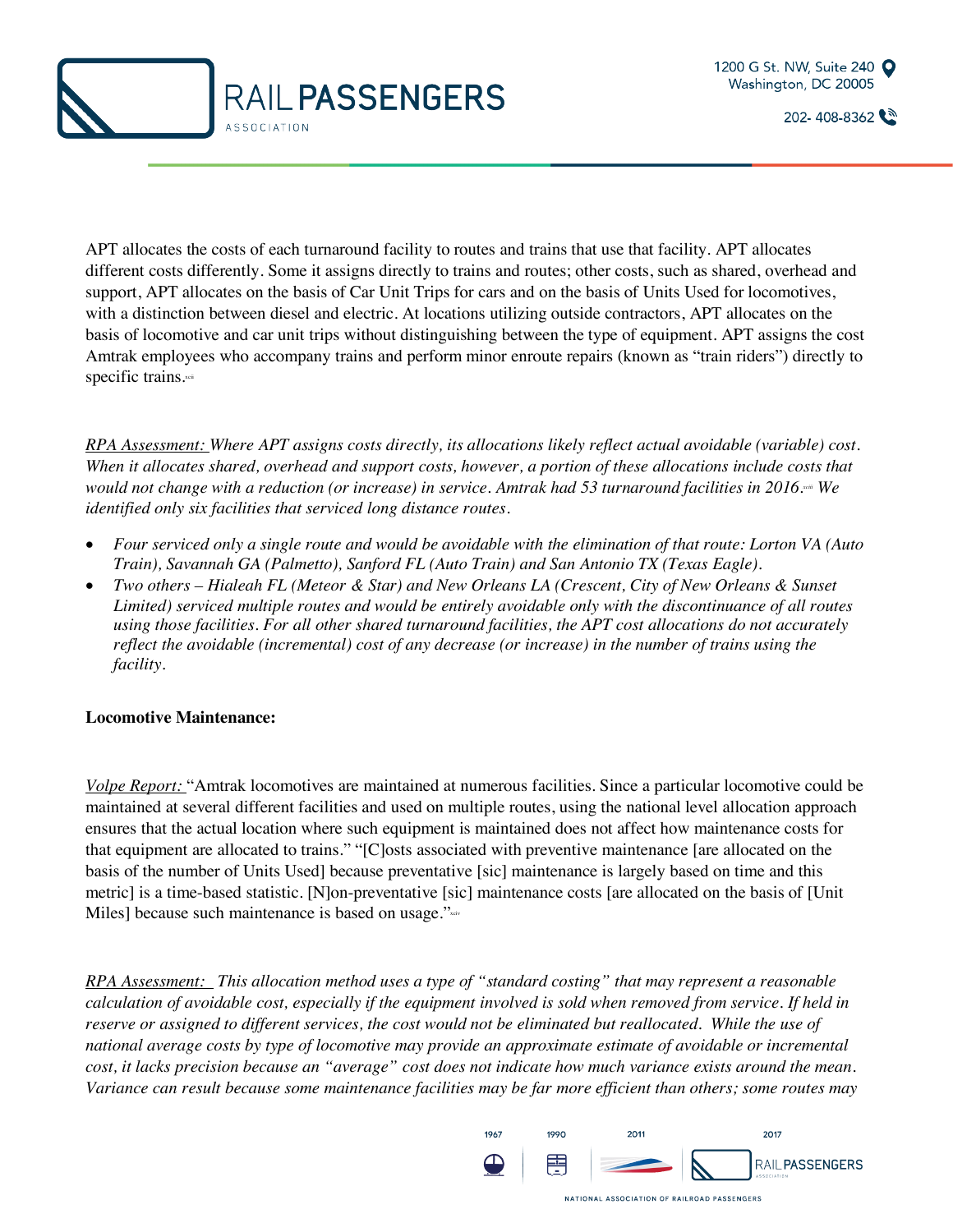



APT allocates the costs of each turnaround facility to routes and trains that use that facility. APT allocates different costs differently. Some it assigns directly to trains and routes; other costs, such as shared, overhead and support, APT allocates on the basis of Car Unit Trips for cars and on the basis of Units Used for locomotives, with a distinction between diesel and electric. At locations utilizing outside contractors, APT allocates on the basis of locomotive and car unit trips without distinguishing between the type of equipment. APT assigns the cost Amtrak employees who accompany trains and perform minor enroute repairs (known as "train riders") directly to specific trains.xcii

*RPA Assessment: Where APT assigns costs directly, its allocations likely reflect actual avoidable (variable) cost. When it allocates shared, overhead and support costs, however, a portion of these allocations include costs that would not change with a reduction (or increase) in service. Amtrak had 53 turnaround facilities in 2016.xciii We identified only six facilities that serviced long distance routes.* 

- *Four serviced only a single route and would be avoidable with the elimination of that route: Lorton VA (Auto Train), Savannah GA (Palmetto), Sanford FL (Auto Train) and San Antonio TX (Texas Eagle).*
- *Two others – Hialeah FL (Meteor & Star) and New Orleans LA (Crescent, City of New Orleans & Sunset Limited) serviced multiple routes and would be entirely avoidable only with the discontinuance of all routes using those facilities. For all other shared turnaround facilities, the APT cost allocations do not accurately reflect the avoidable (incremental) cost of any decrease (or increase) in the number of trains using the facility.*

#### **Locomotive Maintenance:**

*Volpe Report:* "Amtrak locomotives are maintained at numerous facilities. Since a particular locomotive could be maintained at several different facilities and used on multiple routes, using the national level allocation approach ensures that the actual location where such equipment is maintained does not affect how maintenance costs for that equipment are allocated to trains." "[C]osts associated with preventive maintenance [are allocated on the basis of the number of Units Used] because preventative [sic] maintenance is largely based on time and this metric] is a time-based statistic. [N]on-preventative [sic] maintenance costs [are allocated on the basis of [Unit Miles] because such maintenance is based on usage."xxiv

*RPA Assessment: This allocation method uses a type of "standard costing" that may represent a reasonable calculation of avoidable cost, especially if the equipment involved is sold when removed from service. If held in reserve or assigned to different services, the cost would not be eliminated but reallocated. While the use of national average costs by type of locomotive may provide an approximate estimate of avoidable or incremental cost, it lacks precision because an "average" cost does not indicate how much variance exists around the mean. Variance can result because some maintenance facilities may be far more efficient than others; some routes may* 

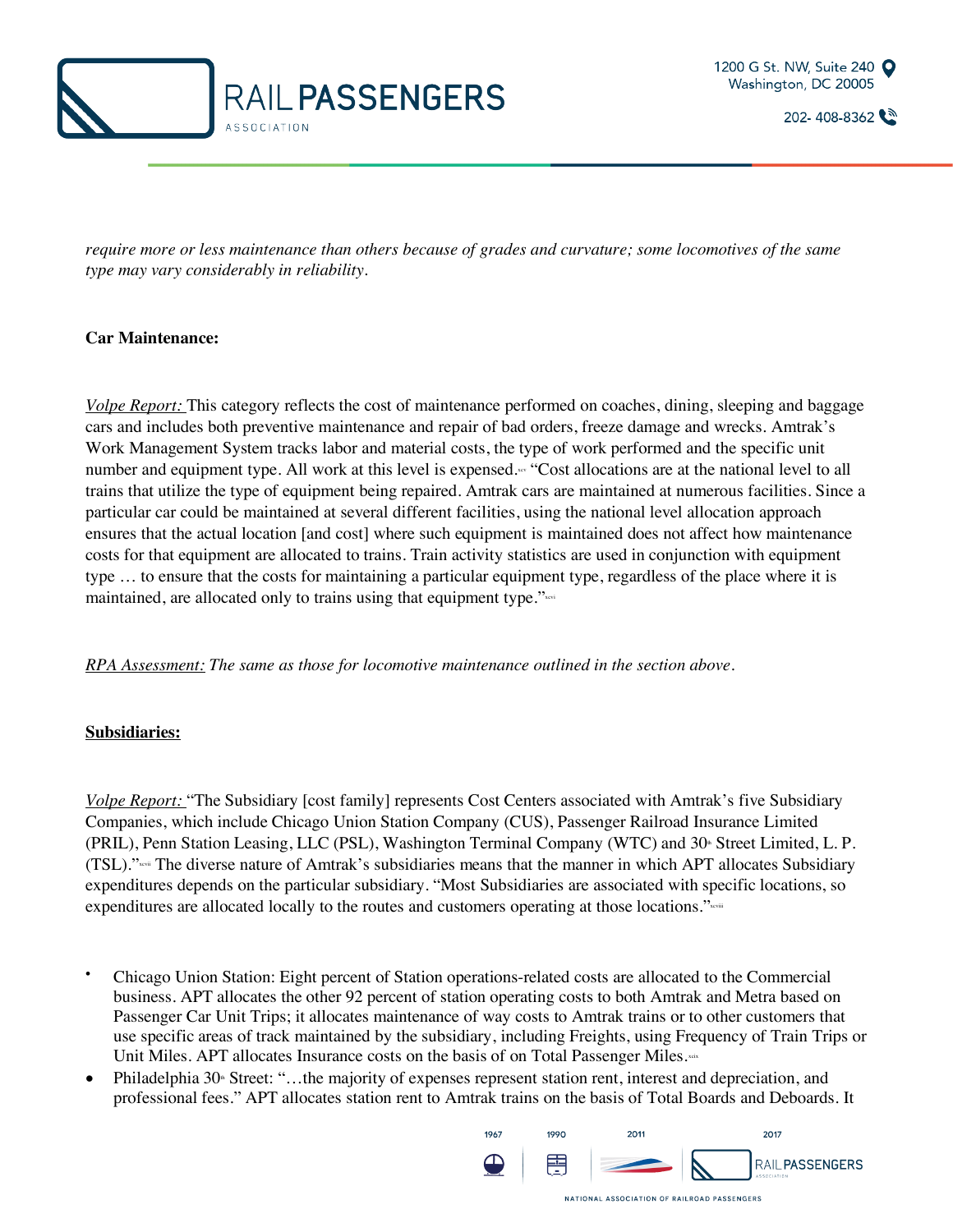



*require more or less maintenance than others because of grades and curvature; some locomotives of the same type may vary considerably in reliability.*

#### **Car Maintenance:**

*Volpe Report:* This category reflects the cost of maintenance performed on coaches, dining, sleeping and baggage cars and includes both preventive maintenance and repair of bad orders, freeze damage and wrecks. Amtrak's Work Management System tracks labor and material costs, the type of work performed and the specific unit number and equipment type. All work at this level is expensed. ""Cost allocations are at the national level to all trains that utilize the type of equipment being repaired. Amtrak cars are maintained at numerous facilities. Since a particular car could be maintained at several different facilities, using the national level allocation approach ensures that the actual location [and cost] where such equipment is maintained does not affect how maintenance costs for that equipment are allocated to trains. Train activity statistics are used in conjunction with equipment type … to ensure that the costs for maintaining a particular equipment type, regardless of the place where it is maintained, are allocated only to trains using that equipment type."xxvi

*RPA Assessment: The same as those for locomotive maintenance outlined in the section above.*

#### **Subsidiaries:**

*Volpe Report:* "The Subsidiary [cost family] represents Cost Centers associated with Amtrak's five Subsidiary Companies, which include Chicago Union Station Company (CUS), Passenger Railroad Insurance Limited (PRIL), Penn Station Leasing, LLC (PSL), Washington Terminal Company (WTC) and 30<sup>th</sup> Street Limited, L. P. (TSL)."xcvii The diverse nature of Amtrak's subsidiaries means that the manner in which APT allocates Subsidiary expenditures depends on the particular subsidiary. "Most Subsidiaries are associated with specific locations, so expenditures are allocated locally to the routes and customers operating at those locations."xcviii

- Chicago Union Station: Eight percent of Station operations-related costs are allocated to the Commercial business. APT allocates the other 92 percent of station operating costs to both Amtrak and Metra based on Passenger Car Unit Trips; it allocates maintenance of way costs to Amtrak trains or to other customers that use specific areas of track maintained by the subsidiary, including Freights, using Frequency of Train Trips or Unit Miles. APT allocates Insurance costs on the basis of on Total Passenger Miles. $\sim$
- Philadelphia 30<sup>th</sup> Street: "...the majority of expenses represent station rent, interest and depreciation, and professional fees." APT allocates station rent to Amtrak trains on the basis of Total Boards and Deboards. It

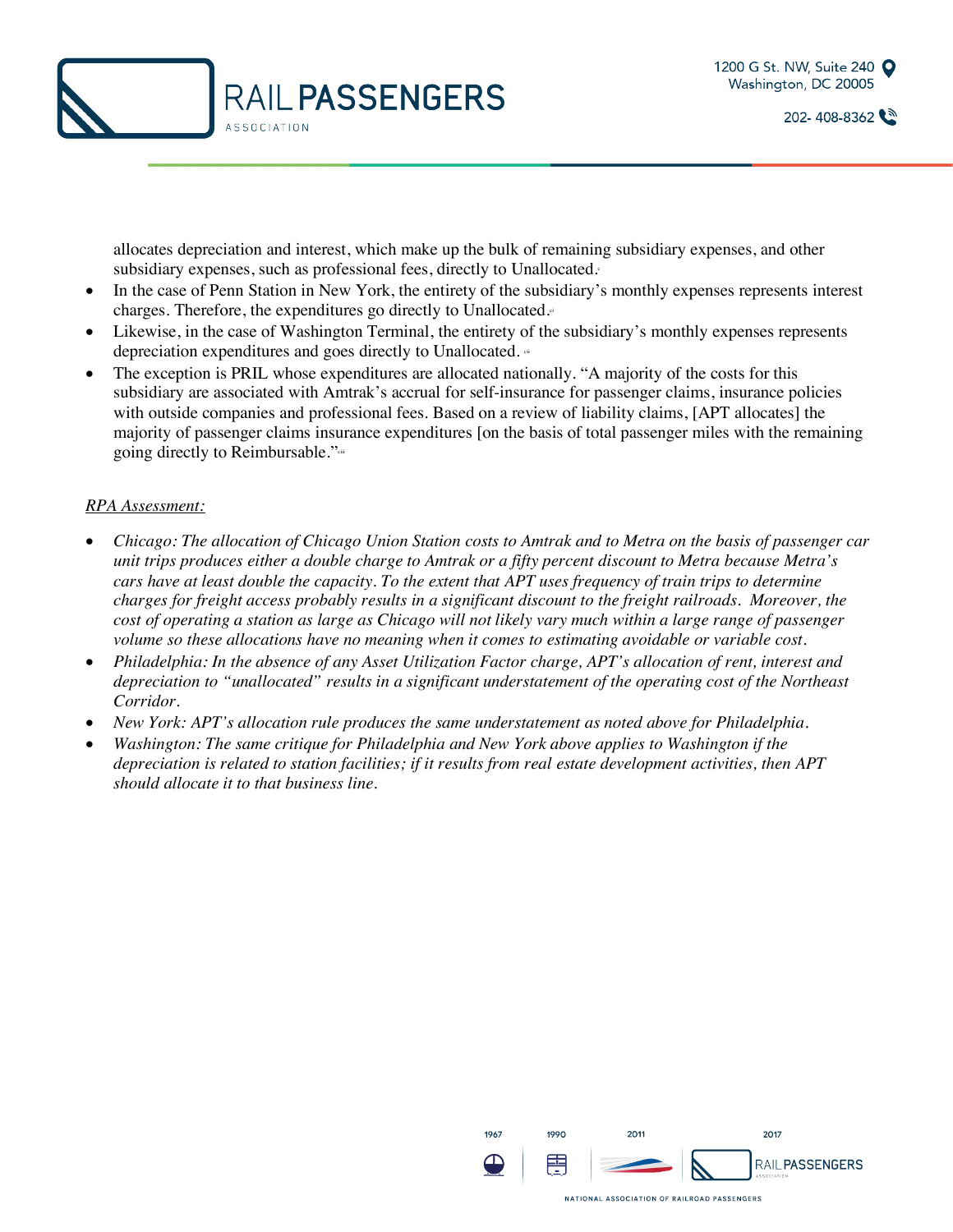

allocates depreciation and interest, which make up the bulk of remaining subsidiary expenses, and other subsidiary expenses, such as professional fees, directly to Unallocated.

- In the case of Penn Station in New York, the entirety of the subsidiary's monthly expenses represents interest charges. Therefore, the expenditures go directly to Unallocated. $\epsilon$
- Likewise, in the case of Washington Terminal, the entirety of the subsidiary's monthly expenses represents depreciation expenditures and goes directly to Unallocated. <sup>ei</sup>
- The exception is PRIL whose expenditures are allocated nationally. "A majority of the costs for this subsidiary are associated with Amtrak's accrual for self-insurance for passenger claims, insurance policies with outside companies and professional fees. Based on a review of liability claims, [APT allocates] the majority of passenger claims insurance expenditures [on the basis of total passenger miles with the remaining going directly to Reimbursable."<sup>cii</sup>

#### *RPA Assessment:*

- *Chicago: The allocation of Chicago Union Station costs to Amtrak and to Metra on the basis of passenger car unit trips produces either a double charge to Amtrak or a fifty percent discount to Metra because Metra's cars have at least double the capacity. To the extent that APT uses frequency of train trips to determine charges for freight access probably results in a significant discount to the freight railroads. Moreover, the cost of operating a station as large as Chicago will not likely vary much within a large range of passenger volume so these allocations have no meaning when it comes to estimating avoidable or variable cost.*
- *Philadelphia: In the absence of any Asset Utilization Factor charge, APT's allocation of rent, interest and depreciation to "unallocated" results in a significant understatement of the operating cost of the Northeast Corridor.*
- *New York: APT's allocation rule produces the same understatement as noted above for Philadelphia.*
- *Washington: The same critique for Philadelphia and New York above applies to Washington if the depreciation is related to station facilities; if it results from real estate development activities, then APT should allocate it to that business line.*

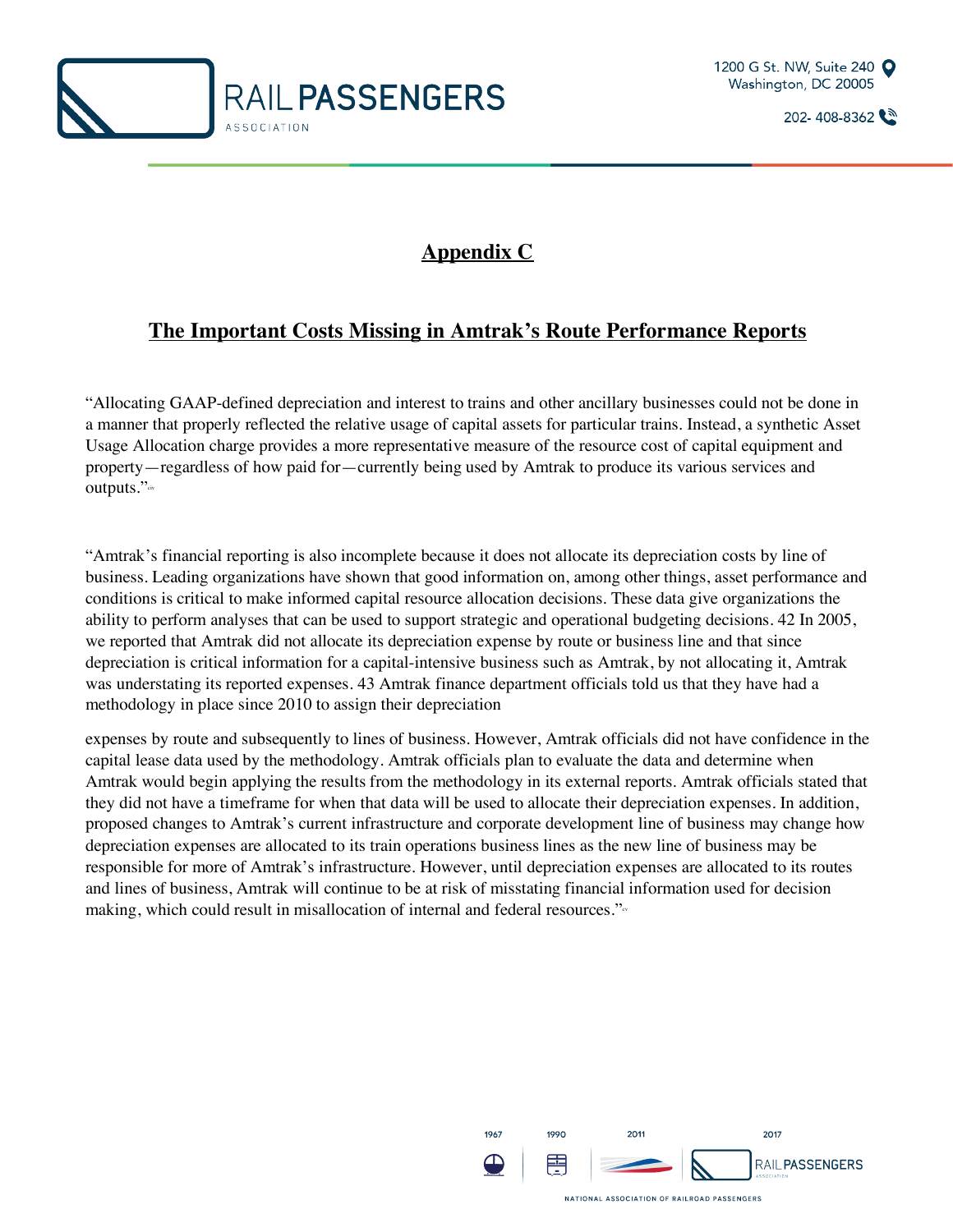



## **Appendix C**

## **The Important Costs Missing in Amtrak's Route Performance Reports**

"Allocating GAAP-defined depreciation and interest to trains and other ancillary businesses could not be done in a manner that properly reflected the relative usage of capital assets for particular trains. Instead, a synthetic Asset Usage Allocation charge provides a more representative measure of the resource cost of capital equipment and property—regardless of how paid for—currently being used by Amtrak to produce its various services and outputs."<sup>civ</sup>

"Amtrak's financial reporting is also incomplete because it does not allocate its depreciation costs by line of business. Leading organizations have shown that good information on, among other things, asset performance and conditions is critical to make informed capital resource allocation decisions. These data give organizations the ability to perform analyses that can be used to support strategic and operational budgeting decisions. 42 In 2005, we reported that Amtrak did not allocate its depreciation expense by route or business line and that since depreciation is critical information for a capital-intensive business such as Amtrak, by not allocating it, Amtrak was understating its reported expenses. 43 Amtrak finance department officials told us that they have had a methodology in place since 2010 to assign their depreciation

expenses by route and subsequently to lines of business. However, Amtrak officials did not have confidence in the capital lease data used by the methodology. Amtrak officials plan to evaluate the data and determine when Amtrak would begin applying the results from the methodology in its external reports. Amtrak officials stated that they did not have a timeframe for when that data will be used to allocate their depreciation expenses. In addition, proposed changes to Amtrak's current infrastructure and corporate development line of business may change how depreciation expenses are allocated to its train operations business lines as the new line of business may be responsible for more of Amtrak's infrastructure. However, until depreciation expenses are allocated to its routes and lines of business, Amtrak will continue to be at risk of misstating financial information used for decision making, which could result in misallocation of internal and federal resources."<sup>c</sup>

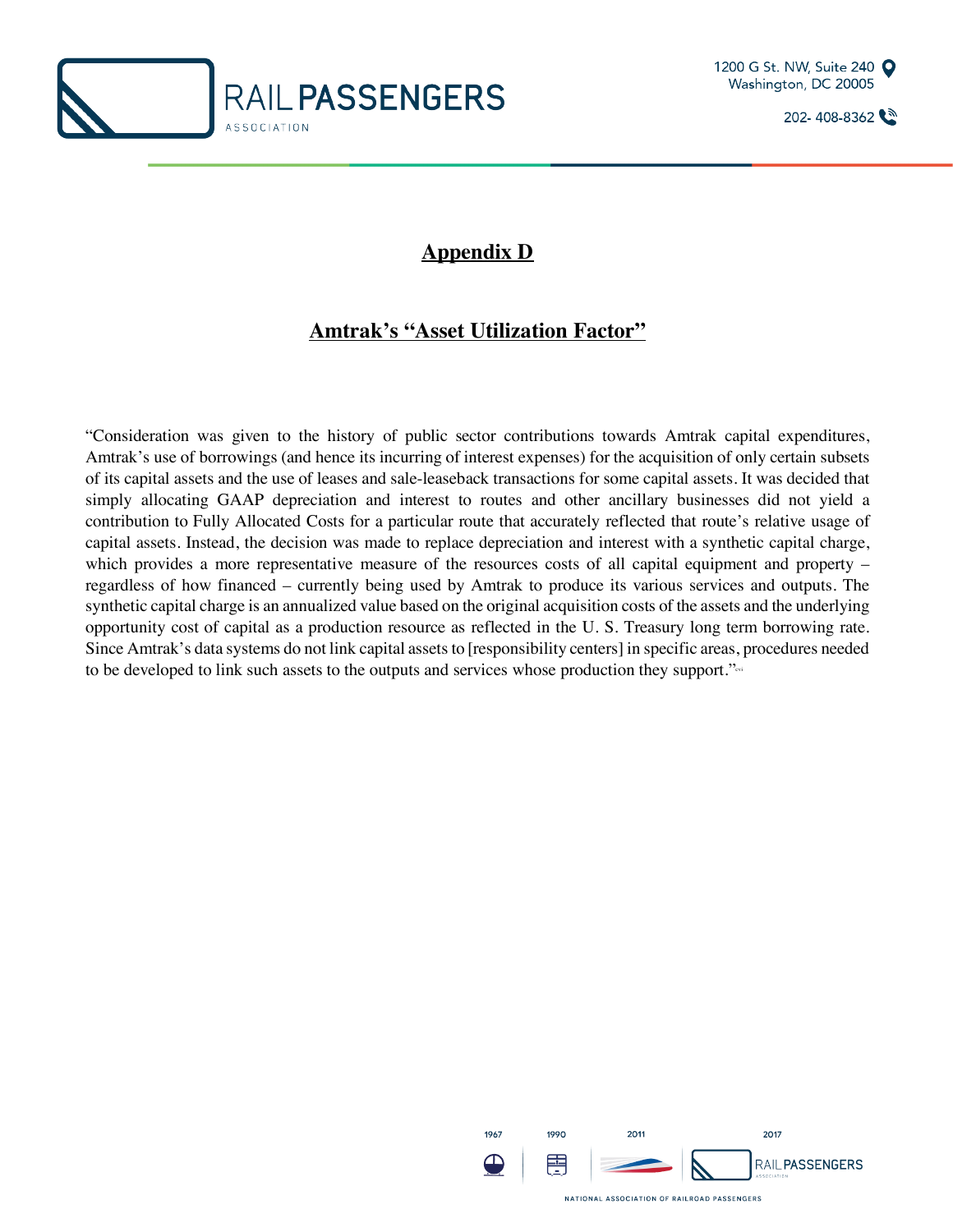



## **Appendix D**

## **Amtrak's "Asset Utilization Factor"**

"Consideration was given to the history of public sector contributions towards Amtrak capital expenditures, Amtrak's use of borrowings (and hence its incurring of interest expenses) for the acquisition of only certain subsets of its capital assets and the use of leases and sale-leaseback transactions for some capital assets. It was decided that simply allocating GAAP depreciation and interest to routes and other ancillary businesses did not yield a contribution to Fully Allocated Costs for a particular route that accurately reflected that route's relative usage of capital assets. Instead, the decision was made to replace depreciation and interest with a synthetic capital charge, which provides a more representative measure of the resources costs of all capital equipment and property – regardless of how financed – currently being used by Amtrak to produce its various services and outputs. The synthetic capital charge is an annualized value based on the original acquisition costs of the assets and the underlying opportunity cost of capital as a production resource as reflected in the U. S. Treasury long term borrowing rate. Since Amtrak's data systems do not link capital assets to [responsibility centers] in specific areas, procedures needed to be developed to link such assets to the outputs and services whose production they support."<sup>24</sup>

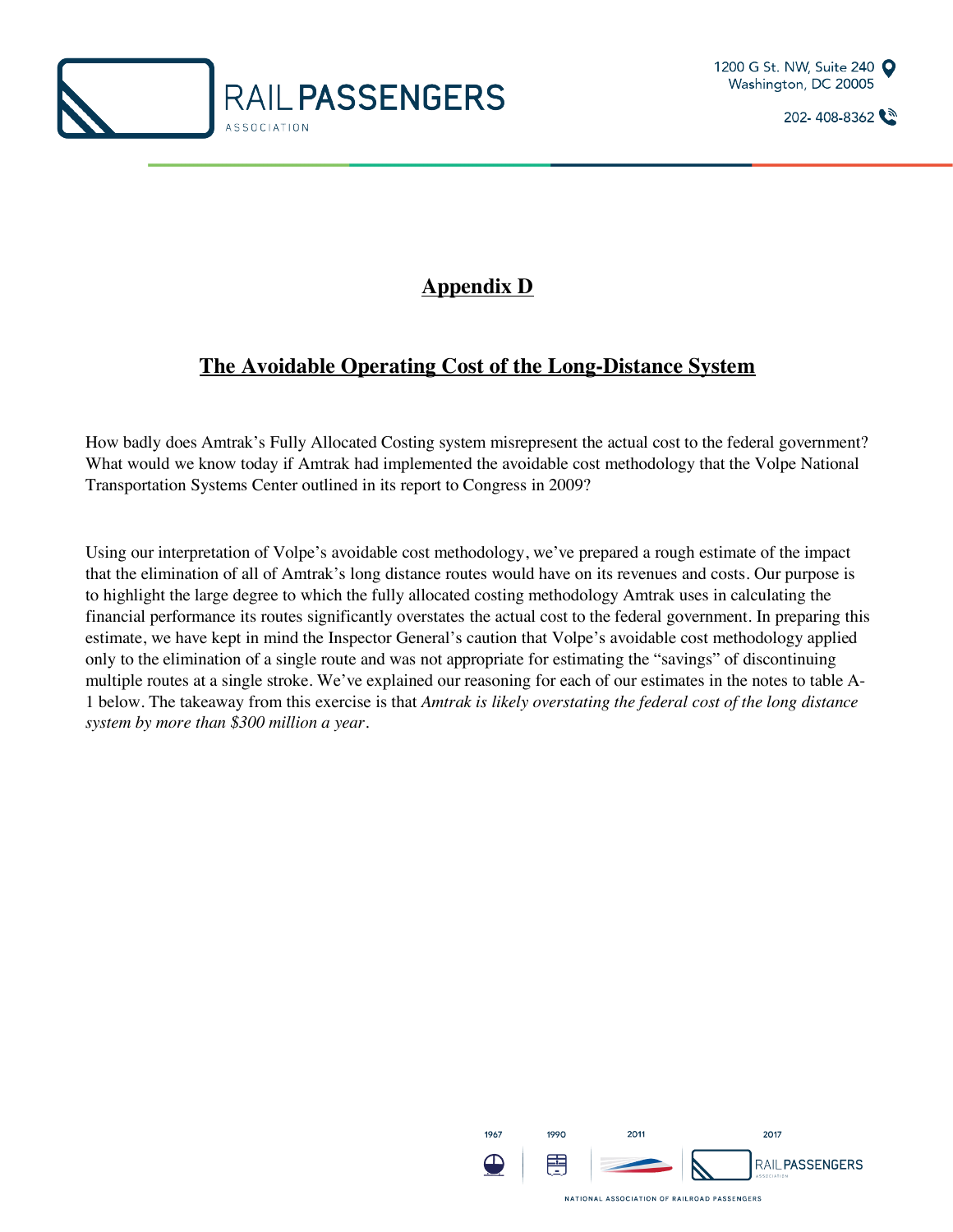



## **Appendix D**

## **The Avoidable Operating Cost of the Long-Distance System**

How badly does Amtrak's Fully Allocated Costing system misrepresent the actual cost to the federal government? What would we know today if Amtrak had implemented the avoidable cost methodology that the Volpe National Transportation Systems Center outlined in its report to Congress in 2009?

Using our interpretation of Volpe's avoidable cost methodology, we've prepared a rough estimate of the impact that the elimination of all of Amtrak's long distance routes would have on its revenues and costs. Our purpose is to highlight the large degree to which the fully allocated costing methodology Amtrak uses in calculating the financial performance its routes significantly overstates the actual cost to the federal government. In preparing this estimate, we have kept in mind the Inspector General's caution that Volpe's avoidable cost methodology applied only to the elimination of a single route and was not appropriate for estimating the "savings" of discontinuing multiple routes at a single stroke. We've explained our reasoning for each of our estimates in the notes to table A-1 below. The takeaway from this exercise is that *Amtrak is likely overstating the federal cost of the long distance system by more than \$300 million a year.*

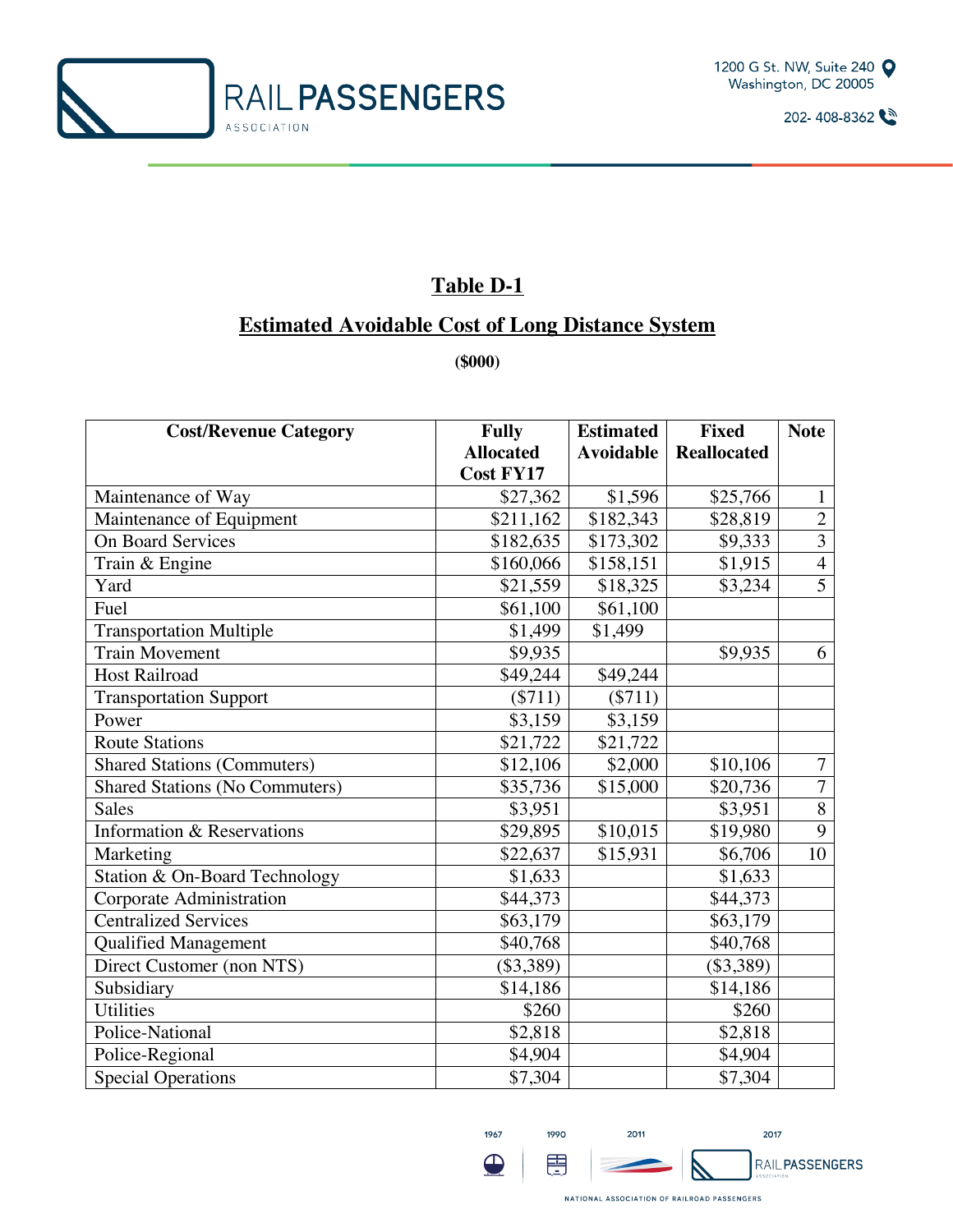



## **Table D-1**

### **Estimated Avoidable Cost of Long Distance System**

**(\$000)**

| <b>Cost/Revenue Category</b>          | <b>Fully</b>     | <b>Estimated</b> | <b>Fixed</b>       | <b>Note</b>    |
|---------------------------------------|------------------|------------------|--------------------|----------------|
|                                       | <b>Allocated</b> | <b>Avoidable</b> | <b>Reallocated</b> |                |
|                                       | <b>Cost FY17</b> |                  |                    |                |
| Maintenance of Way                    | \$27,362         | \$1,596          | \$25,766           | $\mathbf{1}$   |
| Maintenance of Equipment              | \$211,162        | \$182,343        | \$28,819           | $\overline{2}$ |
| <b>On Board Services</b>              | \$182,635        | \$173,302        | \$9,333            | $\overline{3}$ |
| Train & Engine                        | \$160,066        | \$158,151        | \$1,915            | $\overline{4}$ |
| Yard                                  | \$21,559         | \$18,325         | \$3,234            | $\overline{5}$ |
| Fuel                                  | \$61,100         | \$61,100         |                    |                |
| <b>Transportation Multiple</b>        | \$1,499          | \$1,499          |                    |                |
| <b>Train Movement</b>                 | \$9,935          |                  | \$9,935            | 6              |
| <b>Host Railroad</b>                  | \$49,244         | \$49,244         |                    |                |
| <b>Transportation Support</b>         | $(\$711)$        | $($ \$711)       |                    |                |
| Power                                 | \$3,159          | \$3,159          |                    |                |
| <b>Route Stations</b>                 | \$21,722         | \$21,722         |                    |                |
| <b>Shared Stations (Commuters)</b>    | \$12,106         | \$2,000          | \$10,106           | $\overline{7}$ |
| <b>Shared Stations (No Commuters)</b> | \$35,736         | \$15,000         | \$20,736           | $\overline{7}$ |
| <b>Sales</b>                          | \$3,951          |                  | \$3,951            | $\overline{8}$ |
| <b>Information &amp; Reservations</b> | \$29,895         | \$10,015         | \$19,980           | $\overline{9}$ |
| Marketing                             | \$22,637         | \$15,931         | \$6,706            | 10             |
| Station & On-Board Technology         | \$1,633          |                  | \$1,633            |                |
| Corporate Administration              | \$44,373         |                  | \$44,373           |                |
| <b>Centralized Services</b>           | \$63,179         |                  | \$63,179           |                |
| <b>Qualified Management</b>           | \$40,768         |                  | \$40,768           |                |
| Direct Customer (non NTS)             | (\$3,389)        |                  | (\$3,389)          |                |
| Subsidiary                            | \$14,186         |                  | \$14,186           |                |
| <b>Utilities</b>                      | \$260            |                  | \$260              |                |
| Police-National                       | \$2,818          |                  | \$2,818            |                |
| Police-Regional                       | \$4,904          |                  | \$4,904            |                |
| <b>Special Operations</b>             | \$7,304          |                  | $\sqrt{$7,304}$    |                |



1990

圉



 $\blacktriangleright$ 



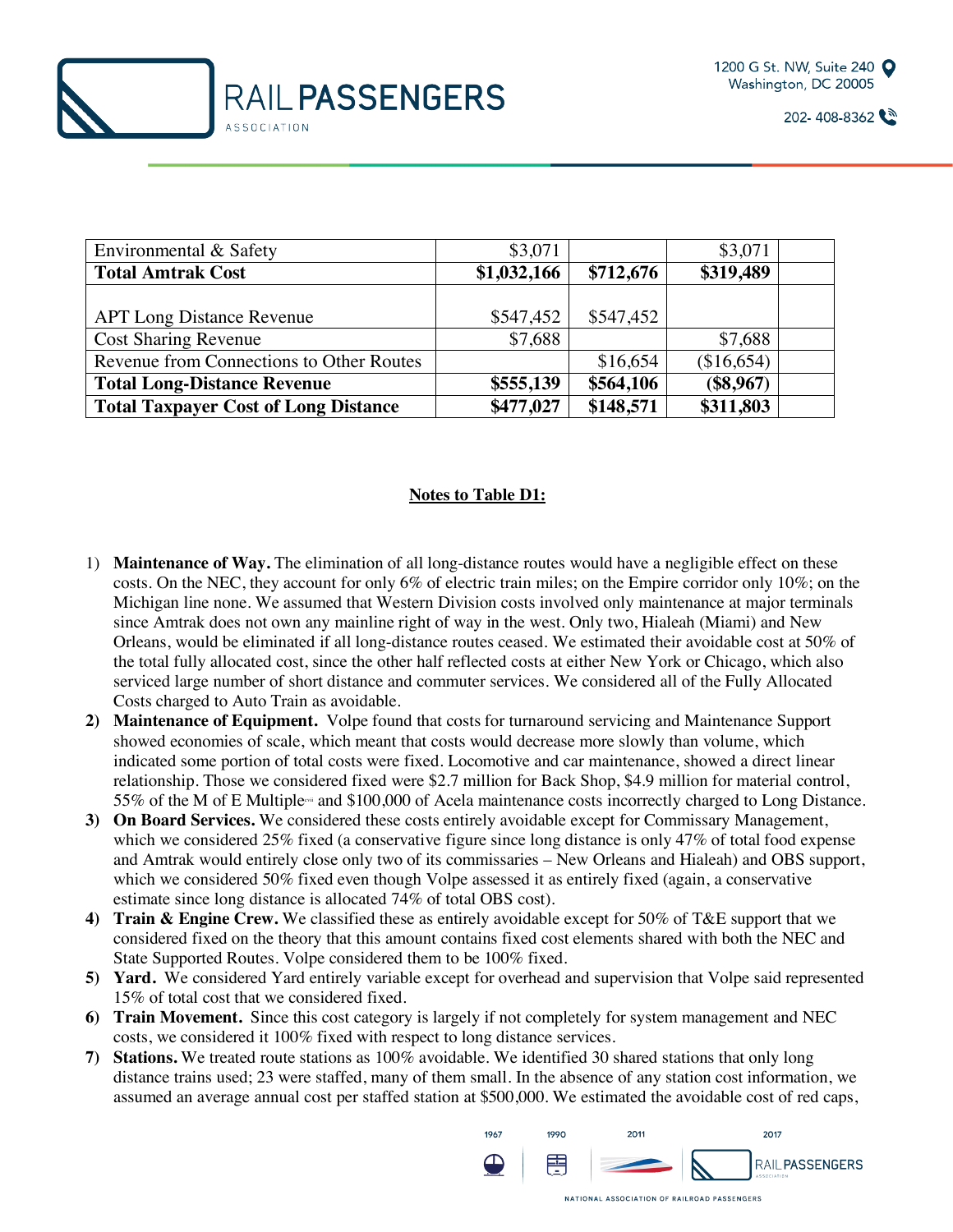



| Environmental & Safety                      | \$3,071     |           | \$3,071     |  |
|---------------------------------------------|-------------|-----------|-------------|--|
| <b>Total Amtrak Cost</b>                    | \$1,032,166 | \$712,676 | \$319,489   |  |
|                                             |             |           |             |  |
| <b>APT Long Distance Revenue</b>            | \$547,452   | \$547,452 |             |  |
| <b>Cost Sharing Revenue</b>                 | \$7,688     |           | \$7,688     |  |
| Revenue from Connections to Other Routes    |             | \$16,654  | (\$16,654)  |  |
| <b>Total Long-Distance Revenue</b>          | \$555,139   | \$564,106 | $(\$8,967)$ |  |
| <b>Total Taxpayer Cost of Long Distance</b> | \$477,027   | \$148,571 | \$311,803   |  |

#### **Notes to Table D1:**

- 1) **Maintenance of Way.** The elimination of all long-distance routes would have a negligible effect on these costs. On the NEC, they account for only 6% of electric train miles; on the Empire corridor only 10%; on the Michigan line none. We assumed that Western Division costs involved only maintenance at major terminals since Amtrak does not own any mainline right of way in the west. Only two, Hialeah (Miami) and New Orleans, would be eliminated if all long-distance routes ceased. We estimated their avoidable cost at 50% of the total fully allocated cost, since the other half reflected costs at either New York or Chicago, which also serviced large number of short distance and commuter services. We considered all of the Fully Allocated Costs charged to Auto Train as avoidable.
- **2) Maintenance of Equipment.** Volpe found that costs for turnaround servicing and Maintenance Support showed economies of scale, which meant that costs would decrease more slowly than volume, which indicated some portion of total costs were fixed. Locomotive and car maintenance, showed a direct linear relationship. Those we considered fixed were \$2.7 million for Back Shop, \$4.9 million for material control, 55% of the M of E Multiple<sup>-a</sup> and \$100,000 of Acela maintenance costs incorrectly charged to Long Distance.
- **3) On Board Services.** We considered these costs entirely avoidable except for Commissary Management, which we considered 25% fixed (a conservative figure since long distance is only 47% of total food expense and Amtrak would entirely close only two of its commissaries – New Orleans and Hialeah) and OBS support, which we considered 50% fixed even though Volpe assessed it as entirely fixed (again, a conservative estimate since long distance is allocated 74% of total OBS cost).
- **4) Train & Engine Crew.** We classified these as entirely avoidable except for 50% of T&E support that we considered fixed on the theory that this amount contains fixed cost elements shared with both the NEC and State Supported Routes. Volpe considered them to be 100% fixed.
- **5) Yard.** We considered Yard entirely variable except for overhead and supervision that Volpe said represented 15% of total cost that we considered fixed.
- **6) Train Movement.** Since this cost category is largely if not completely for system management and NEC costs, we considered it 100% fixed with respect to long distance services.
- **7) Stations.** We treated route stations as 100% avoidable. We identified 30 shared stations that only long distance trains used; 23 were staffed, many of them small. In the absence of any station cost information, we assumed an average annual cost per staffed station at \$500,000. We estimated the avoidable cost of red caps,

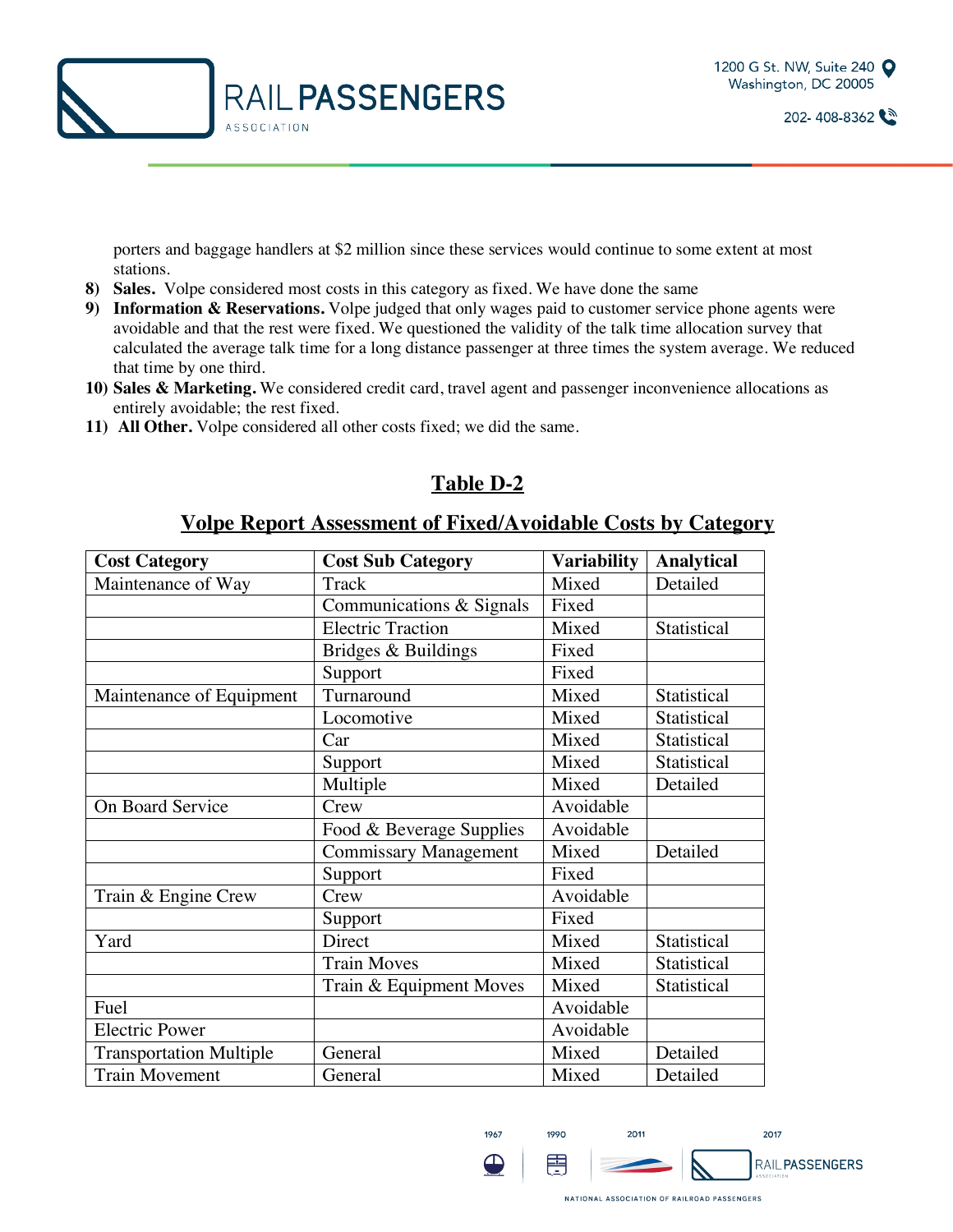

porters and baggage handlers at \$2 million since these services would continue to some extent at most stations.

- **8) Sales.** Volpe considered most costs in this category as fixed. We have done the same
- **9) Information & Reservations.** Volpe judged that only wages paid to customer service phone agents were avoidable and that the rest were fixed. We questioned the validity of the talk time allocation survey that calculated the average talk time for a long distance passenger at three times the system average. We reduced that time by one third.
- **10) Sales & Marketing.** We considered credit card, travel agent and passenger inconvenience allocations as entirely avoidable; the rest fixed.
- **11) All Other.** Volpe considered all other costs fixed; we did the same.

### **Table D-2**

#### **Volpe Report Assessment of Fixed/Avoidable Costs by Category**

| <b>Cost Category</b>           | <b>Cost Sub Category</b>     | <b>Variability</b> | <b>Analytical</b> |
|--------------------------------|------------------------------|--------------------|-------------------|
| Maintenance of Way             | Track                        | Mixed              | Detailed          |
|                                | Communications & Signals     | Fixed              |                   |
|                                | <b>Electric Traction</b>     | Mixed              | Statistical       |
|                                | Bridges & Buildings          | Fixed              |                   |
|                                | Support                      | Fixed              |                   |
| Maintenance of Equipment       | Turnaround                   | Mixed              | Statistical       |
|                                | Locomotive                   | Mixed              | Statistical       |
|                                | Car                          | Mixed              | Statistical       |
|                                | Support                      | Mixed              | Statistical       |
|                                | Multiple                     | Mixed              | Detailed          |
| On Board Service               | Crew                         | Avoidable          |                   |
|                                | Food & Beverage Supplies     | Avoidable          |                   |
|                                | <b>Commissary Management</b> | Mixed              | Detailed          |
|                                | Support                      | Fixed              |                   |
| Train & Engine Crew            | Crew                         | Avoidable          |                   |
|                                | Support                      | Fixed              |                   |
| Yard                           | Direct                       | Mixed              | Statistical       |
|                                | <b>Train Moves</b>           | Mixed              | Statistical       |
|                                | Train & Equipment Moves      | Mixed              | Statistical       |
| Fuel                           |                              | Avoidable          |                   |
| <b>Electric Power</b>          |                              | Avoidable          |                   |
| <b>Transportation Multiple</b> | General                      | Mixed              | Detailed          |
| <b>Train Movement</b>          | General                      | Mixed              | Detailed          |

1967

 $\bigoplus$ 

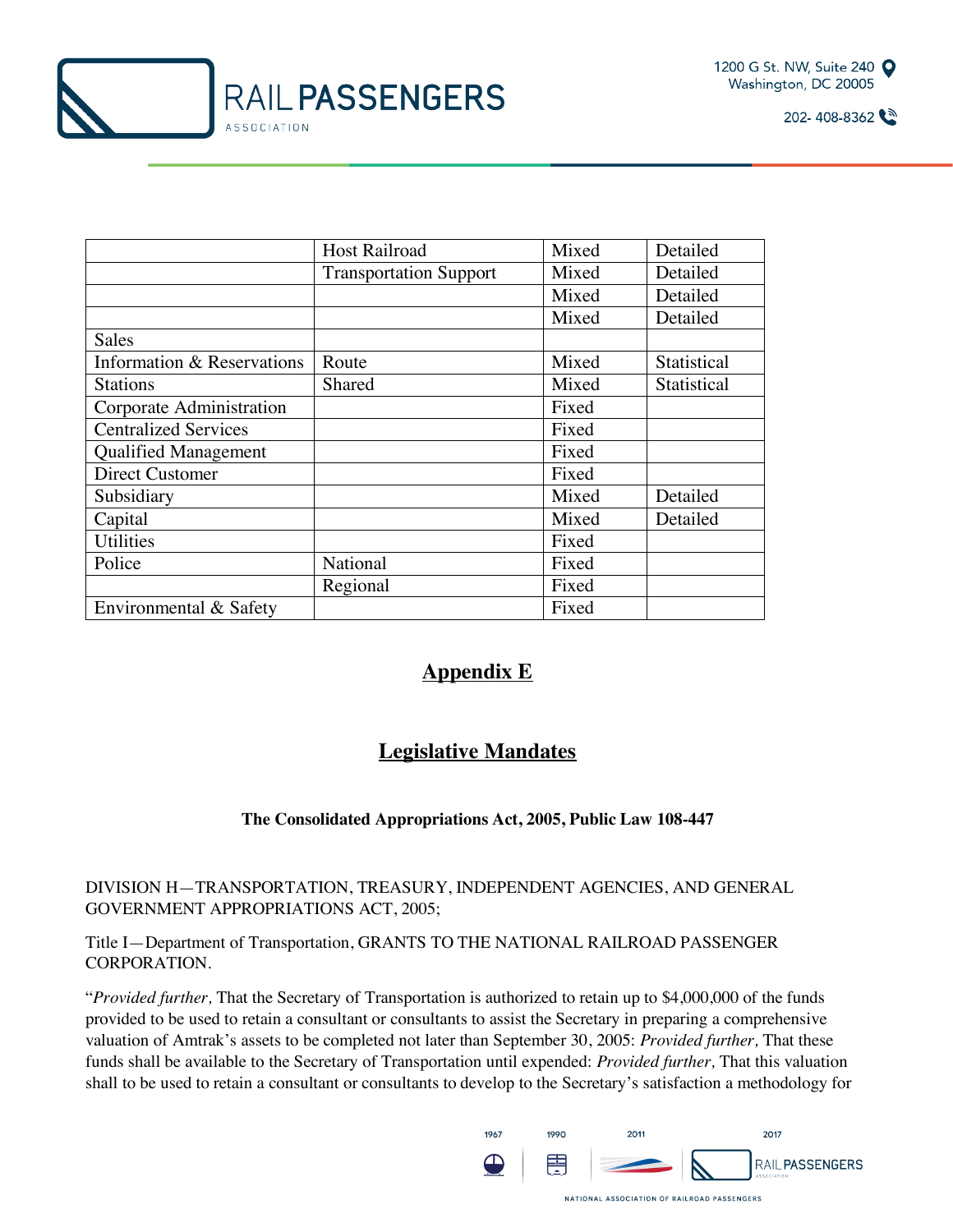



|                             | <b>Host Railroad</b>          | Mixed | Detailed    |
|-----------------------------|-------------------------------|-------|-------------|
|                             | <b>Transportation Support</b> | Mixed | Detailed    |
|                             |                               | Mixed | Detailed    |
|                             |                               | Mixed | Detailed    |
| Sales                       |                               |       |             |
| Information & Reservations  | Route                         | Mixed | Statistical |
| <b>Stations</b>             | <b>Shared</b>                 | Mixed | Statistical |
| Corporate Administration    |                               | Fixed |             |
| <b>Centralized Services</b> |                               | Fixed |             |
| <b>Qualified Management</b> |                               | Fixed |             |
| <b>Direct Customer</b>      |                               | Fixed |             |
| Subsidiary                  |                               | Mixed | Detailed    |
| Capital                     |                               | Mixed | Detailed    |
| <b>Utilities</b>            |                               | Fixed |             |
| Police                      | National                      | Fixed |             |
|                             | Regional                      | Fixed |             |
| Environmental & Safety      |                               | Fixed |             |

### **Appendix E**

## **Legislative Mandates**

#### **The Consolidated Appropriations Act, 2005, Public Law 108-447**

DIVISION H—TRANSPORTATION, TREASURY, INDEPENDENT AGENCIES, AND GENERAL GOVERNMENT APPROPRIATIONS ACT, 2005;

Title I—Department of Transportation, GRANTS TO THE NATIONAL RAILROAD PASSENGER CORPORATION.

"*Provided further,* That the Secretary of Transportation is authorized to retain up to \$4,000,000 of the funds provided to be used to retain a consultant or consultants to assist the Secretary in preparing a comprehensive valuation of Amtrak's assets to be completed not later than September 30, 2005: *Provided further,* That these funds shall be available to the Secretary of Transportation until expended: *Provided further,* That this valuation shall to be used to retain a consultant or consultants to develop to the Secretary's satisfaction a methodology for

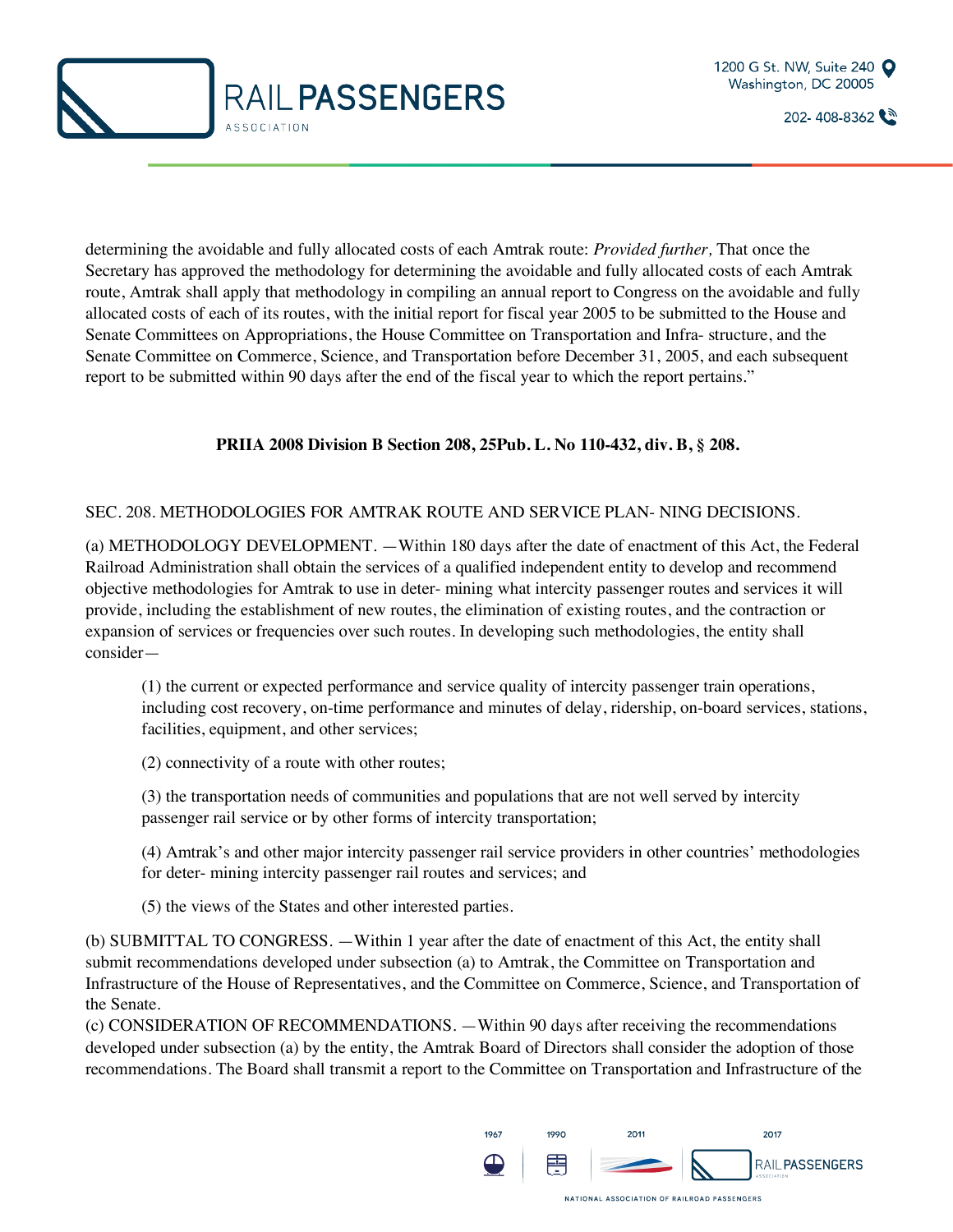



determining the avoidable and fully allocated costs of each Amtrak route: *Provided further,* That once the Secretary has approved the methodology for determining the avoidable and fully allocated costs of each Amtrak route, Amtrak shall apply that methodology in compiling an annual report to Congress on the avoidable and fully allocated costs of each of its routes, with the initial report for fiscal year 2005 to be submitted to the House and Senate Committees on Appropriations, the House Committee on Transportation and Infra- structure, and the Senate Committee on Commerce, Science, and Transportation before December 31, 2005, and each subsequent report to be submitted within 90 days after the end of the fiscal year to which the report pertains."

#### **PRIIA 2008 Division B Section 208, 25Pub. L. No 110-432, div. B, § 208.**

#### SEC. 208. METHODOLOGIES FOR AMTRAK ROUTE AND SERVICE PLAN- NING DECISIONS.

(a) METHODOLOGY DEVELOPMENT. —Within 180 days after the date of enactment of this Act, the Federal Railroad Administration shall obtain the services of a qualified independent entity to develop and recommend objective methodologies for Amtrak to use in deter- mining what intercity passenger routes and services it will provide, including the establishment of new routes, the elimination of existing routes, and the contraction or expansion of services or frequencies over such routes. In developing such methodologies, the entity shall consider—

(1) the current or expected performance and service quality of intercity passenger train operations, including cost recovery, on-time performance and minutes of delay, ridership, on-board services, stations, facilities, equipment, and other services;

(2) connectivity of a route with other routes;

(3) the transportation needs of communities and populations that are not well served by intercity passenger rail service or by other forms of intercity transportation;

(4) Amtrak's and other major intercity passenger rail service providers in other countries' methodologies for deter- mining intercity passenger rail routes and services; and

(5) the views of the States and other interested parties.

(b) SUBMITTAL TO CONGRESS. —Within 1 year after the date of enactment of this Act, the entity shall submit recommendations developed under subsection (a) to Amtrak, the Committee on Transportation and Infrastructure of the House of Representatives, and the Committee on Commerce, Science, and Transportation of the Senate.

(c) CONSIDERATION OF RECOMMENDATIONS. —Within 90 days after receiving the recommendations developed under subsection (a) by the entity, the Amtrak Board of Directors shall consider the adoption of those recommendations. The Board shall transmit a report to the Committee on Transportation and Infrastructure of the

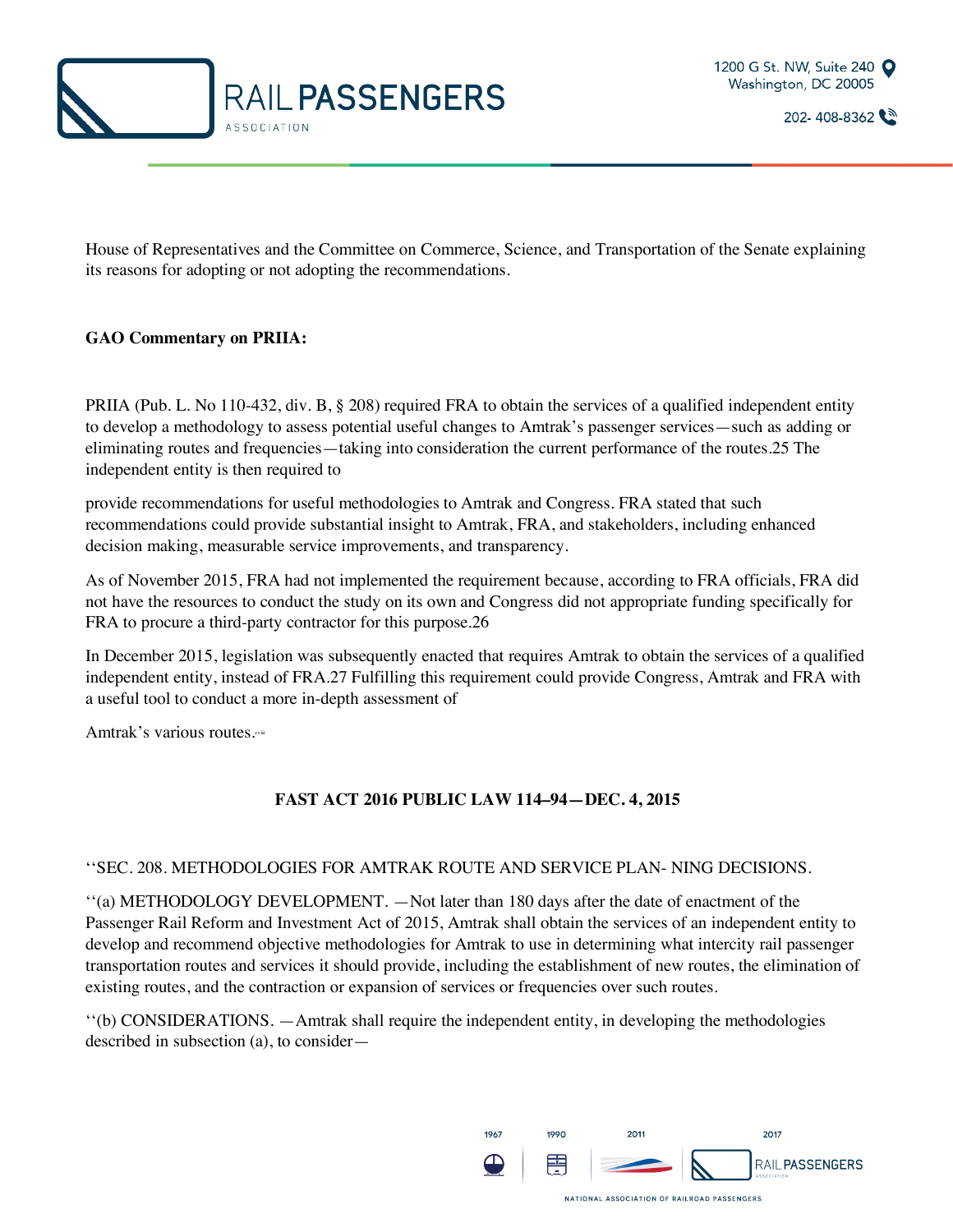



House of Representatives and the Committee on Commerce, Science, and Transportation of the Senate explaining its reasons for adopting or not adopting the recommendations.

#### **GAO Commentary on PRIIA:**

PRIIA (Pub. L. No 110-432, div. B, § 208) required FRA to obtain the services of a qualified independent entity to develop a methodology to assess potential useful changes to Amtrak's passenger services—such as adding or eliminating routes and frequencies—taking into consideration the current performance of the routes.25 The independent entity is then required to

provide recommendations for useful methodologies to Amtrak and Congress. FRA stated that such recommendations could provide substantial insight to Amtrak, FRA, and stakeholders, including enhanced decision making, measurable service improvements, and transparency.

As of November 2015, FRA had not implemented the requirement because, according to FRA officials, FRA did not have the resources to conduct the study on its own and Congress did not appropriate funding specifically for FRA to procure a third-party contractor for this purpose.26

In December 2015, legislation was subsequently enacted that requires Amtrak to obtain the services of a qualified independent entity, instead of FRA.27 Fulfilling this requirement could provide Congress, Amtrak and FRA with a useful tool to conduct a more in-depth assessment of

Amtrak's various routes.

#### **FAST ACT 2016 PUBLIC LAW 114–94—DEC. 4, 2015**

#### ''SEC. 208. METHODOLOGIES FOR AMTRAK ROUTE AND SERVICE PLAN- NING DECISIONS.

''(a) METHODOLOGY DEVELOPMENT. —Not later than 180 days after the date of enactment of the Passenger Rail Reform and Investment Act of 2015, Amtrak shall obtain the services of an independent entity to develop and recommend objective methodologies for Amtrak to use in determining what intercity rail passenger transportation routes and services it should provide, including the establishment of new routes, the elimination of existing routes, and the contraction or expansion of services or frequencies over such routes.

''(b) CONSIDERATIONS. —Amtrak shall require the independent entity, in developing the methodologies described in subsection (a), to consider—

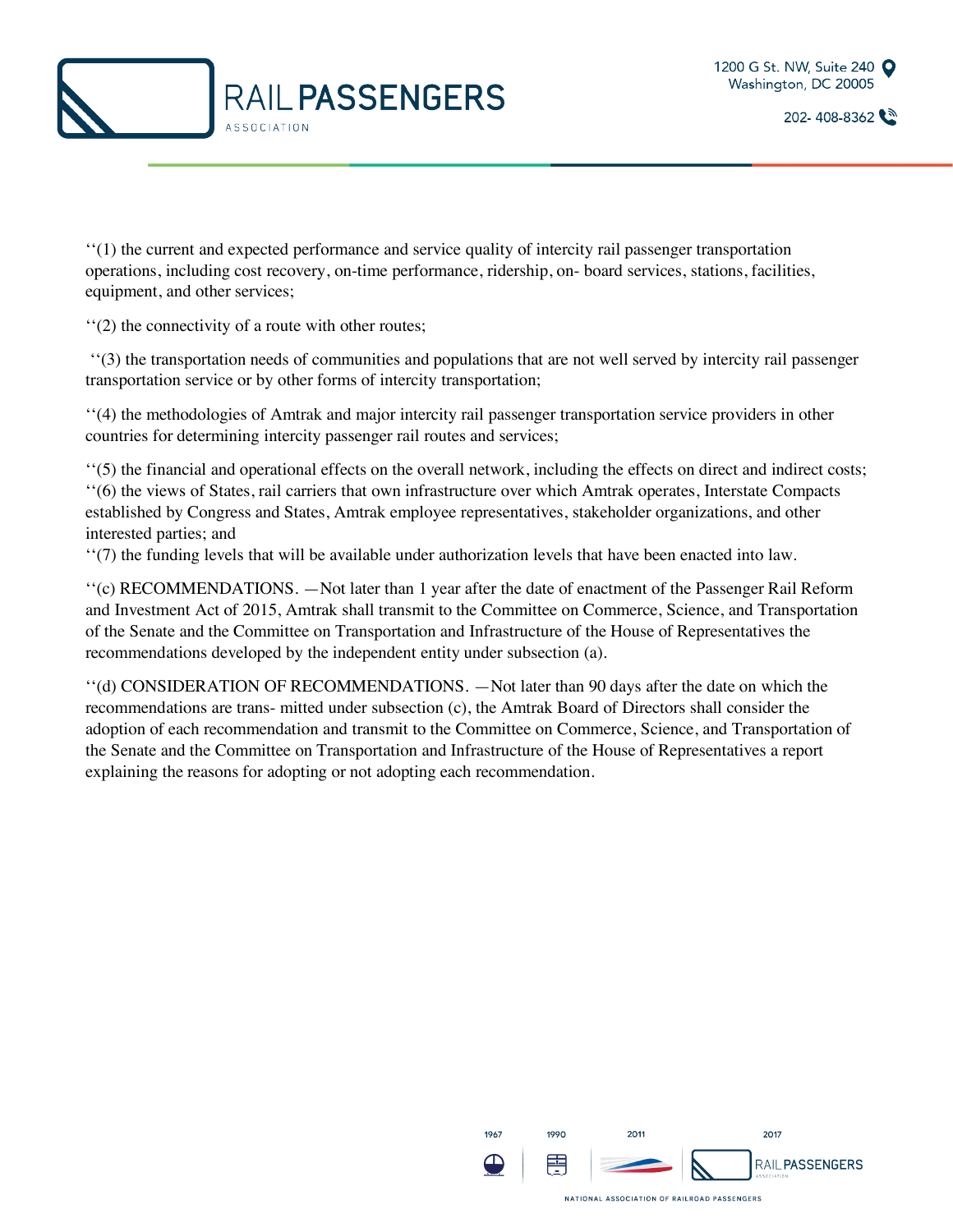



''(1) the current and expected performance and service quality of intercity rail passenger transportation operations, including cost recovery, on-time performance, ridership, on- board services, stations, facilities, equipment, and other services;

''(2) the connectivity of a route with other routes;

''(3) the transportation needs of communities and populations that are not well served by intercity rail passenger transportation service or by other forms of intercity transportation;

''(4) the methodologies of Amtrak and major intercity rail passenger transportation service providers in other countries for determining intercity passenger rail routes and services;

''(5) the financial and operational effects on the overall network, including the effects on direct and indirect costs; ''(6) the views of States, rail carriers that own infrastructure over which Amtrak operates, Interstate Compacts established by Congress and States, Amtrak employee representatives, stakeholder organizations, and other interested parties; and

''(7) the funding levels that will be available under authorization levels that have been enacted into law.

''(c) RECOMMENDATIONS. —Not later than 1 year after the date of enactment of the Passenger Rail Reform and Investment Act of 2015, Amtrak shall transmit to the Committee on Commerce, Science, and Transportation of the Senate and the Committee on Transportation and Infrastructure of the House of Representatives the recommendations developed by the independent entity under subsection (a).

''(d) CONSIDERATION OF RECOMMENDATIONS. —Not later than 90 days after the date on which the recommendations are trans- mitted under subsection (c), the Amtrak Board of Directors shall consider the adoption of each recommendation and transmit to the Committee on Commerce, Science, and Transportation of the Senate and the Committee on Transportation and Infrastructure of the House of Representatives a report explaining the reasons for adopting or not adopting each recommendation.

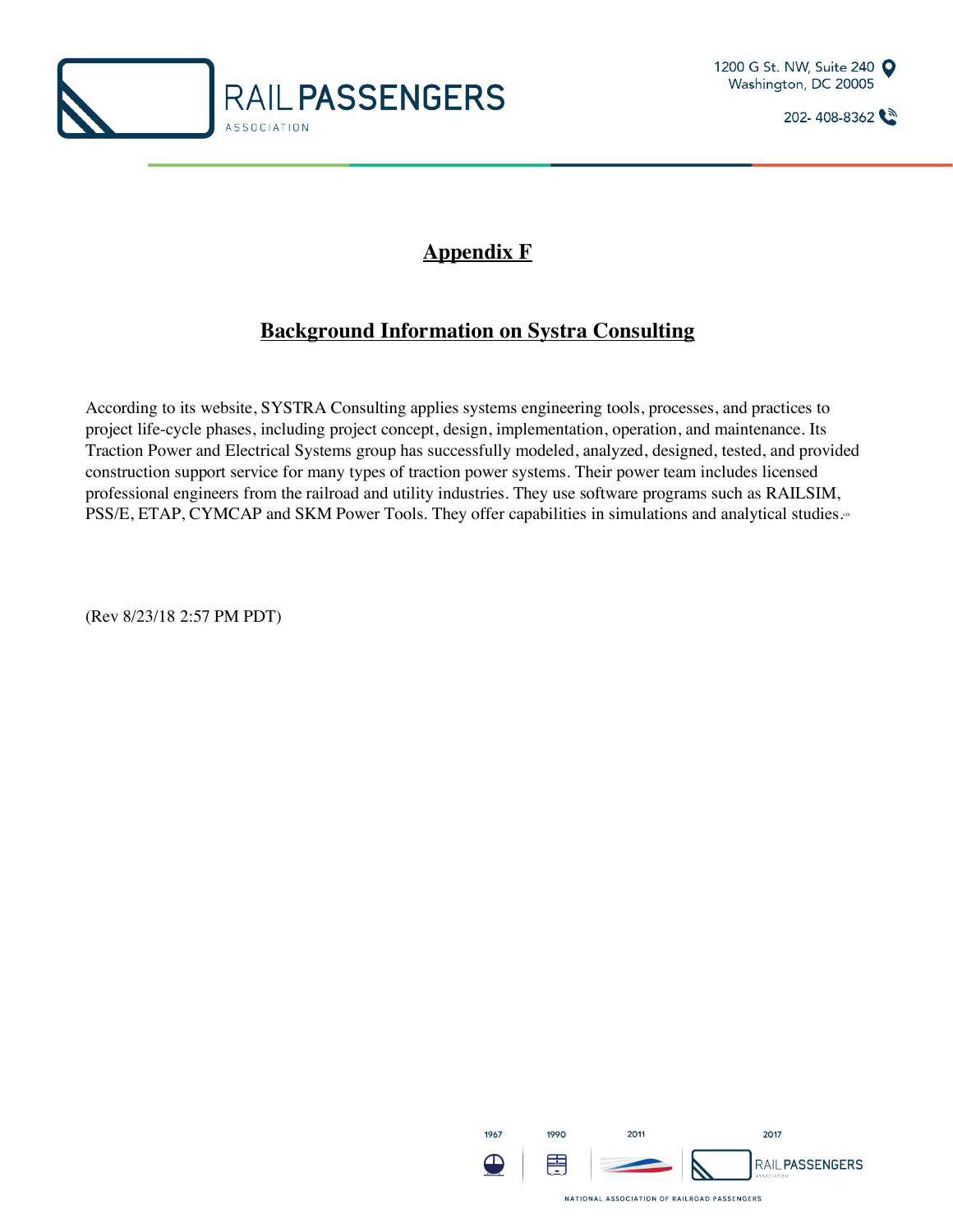



## **Appendix F**

## **Background Information on Systra Consulting**

According to its website, SYSTRA Consulting applies systems engineering tools, processes, and practices to project life-cycle phases, including project concept, design, implementation, operation, and maintenance. Its Traction Power and Electrical Systems group has successfully modeled, analyzed, designed, tested, and provided construction support service for many types of traction power systems. Their power team includes licensed professional engineers from the railroad and utility industries. They use software programs such as RAILSIM, PSS/E, ETAP, CYMCAP and SKM Power Tools. They offer capabilities in simulations and analytical studies.<sup>\*</sup>

(Rev 8/23/18 2:57 PM PDT)

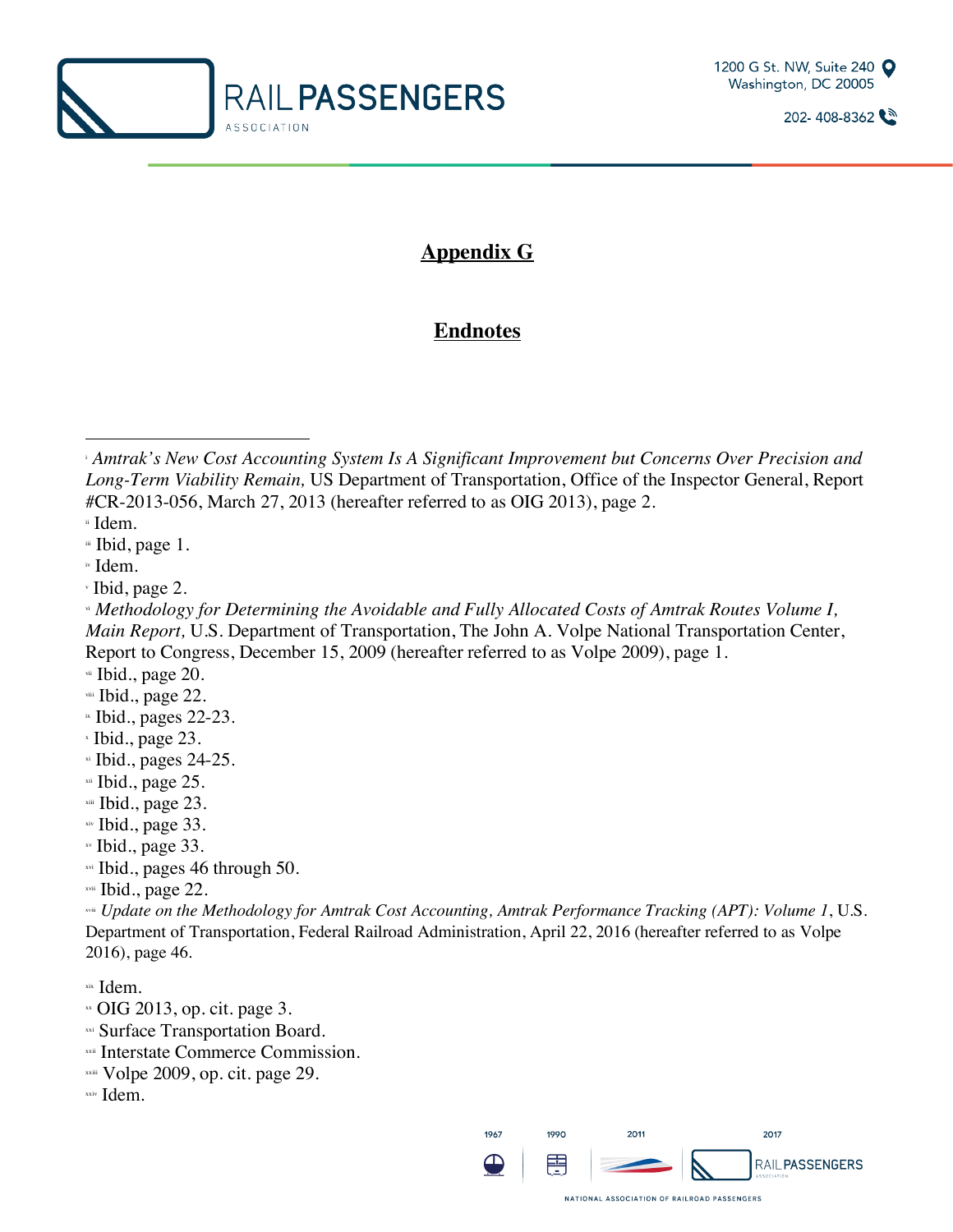



## **Appendix G**

## **Endnotes**

ii Idem.

 $\overline{a}$ 

iii Ibid, page 1.

iv Idem.

<sup>v</sup> Ibid, page 2.

vii Ibid., page 20.

viii Ibid., page 22.

- $\cdot$  Ibid., pages 22-23.
- <sup>x</sup> Ibid., page 23.
- $\overline{M}$  Ibid., pages 24-25.
- xii Ibid., page 25.
- xiii Ibid., page 23.
- xiv Ibid., page 33.
- xv Ibid., page 33.
- xvi Ibid., pages 46 through 50.

xvii Ibid., page 22.

xviii *Update on the Methodology for Amtrak Cost Accounting, Amtrak Performance Tracking (APT): Volume 1*, U.S. Department of Transportation, Federal Railroad Administration, April 22, 2016 (hereafter referred to as Volpe 2016), page 46.

xix Idem.

- $\approx$  OIG 2013, op. cit. page 3.
- xxi Surface Transportation Board.
- xxii Interstate Commerce Commission.
- $x$ xxiii Volpe 2009, op. cit. page 29.
- xxiv Idem.



<sup>i</sup> *Amtrak's New Cost Accounting System Is A Significant Improvement but Concerns Over Precision and Long-Term Viability Remain,* US Department of Transportation, Office of the Inspector General, Report #CR-2013-056, March 27, 2013 (hereafter referred to as OIG 2013), page 2.

vi *Methodology for Determining the Avoidable and Fully Allocated Costs of Amtrak Routes Volume I, Main Report,* U.S. Department of Transportation, The John A. Volpe National Transportation Center, Report to Congress, December 15, 2009 (hereafter referred to as Volpe 2009), page 1.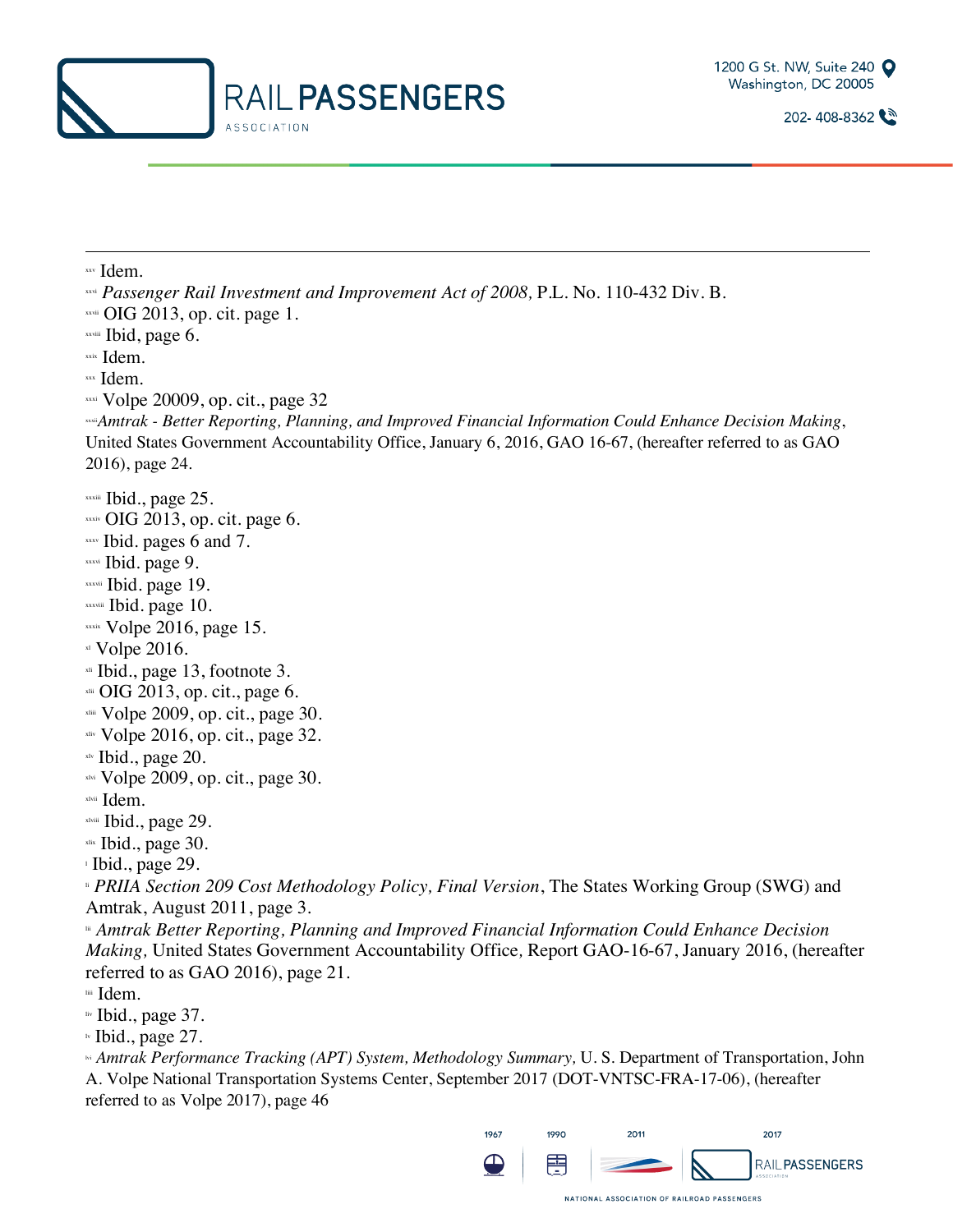



xxv Idem.

l

xxvi *Passenger Rail Investment and Improvement Act of 2008*, P.L. No. 110-432 Div. B.<br>xxvi OIG 2013, op. cit. page 1.

xxviii Ibid, page 6.

xxix Idem.

xxx Idem.

xxxi Volpe 20009, op. cit., page 32 xxxii*Amtrak - Better Reporting, Planning, and Improved Financial Information Could Enhance Decision Making*, United States Government Accountability Office, January 6, 2016, GAO 16-67, (hereafter referred to as GAO 2016), page 24.

- xxxiii Ibid., page 25.
- $x_{\text{axis}}$  OIG 2013, op. cit. page 6.
- $x_{xx}$  Ibid. pages 6 and 7.
- xxxvi Ibid. page 9.
- xxxvii Ibid. page 19.
- xxxviii Ibid. page 10.
- $x$ xxix Volpe 2016, page 15.
- $x1$  Volpe 2016.
- $xii$  Ibid., page 13, footnote 3.
- $x<sub>tili</sub>$  OIG 2013, op. cit., page 6.
- xliii Volpe 2009, op. cit., page 30.
- $x_{\text{div}}$  Volpe 2016, op. cit., page 32.
- xlv Ibid., page 20.
- $x$ lvi Volpe 2009, op. cit., page 30.
- xlvii Idem.
- xlviii Ibid., page 29.
- xlix Ibid., page 30.

<sup>l</sup> Ibid., page 29.

li *PRIIA Section 209 Cost Methodology Policy, Final Version*, The States Working Group (SWG) and Amtrak, August 2011, page 3.

lii *Amtrak Better Reporting, Planning and Improved Financial Information Could Enhance Decision Making,* United States Government Accountability Office*,* Report GAO-16-67, January 2016, (hereafter referred to as GAO 2016), page 21.

liii Idem.

liv Ibid., page 37.

 $\nu$  Ibid., page 27.

lvi *Amtrak Performance Tracking (APT) System, Methodology Summary,* U. S. Department of Transportation, John A. Volpe National Transportation Systems Center, September 2017 (DOT-VNTSC-FRA-17-06), (hereafter referred to as Volpe 2017), page 46

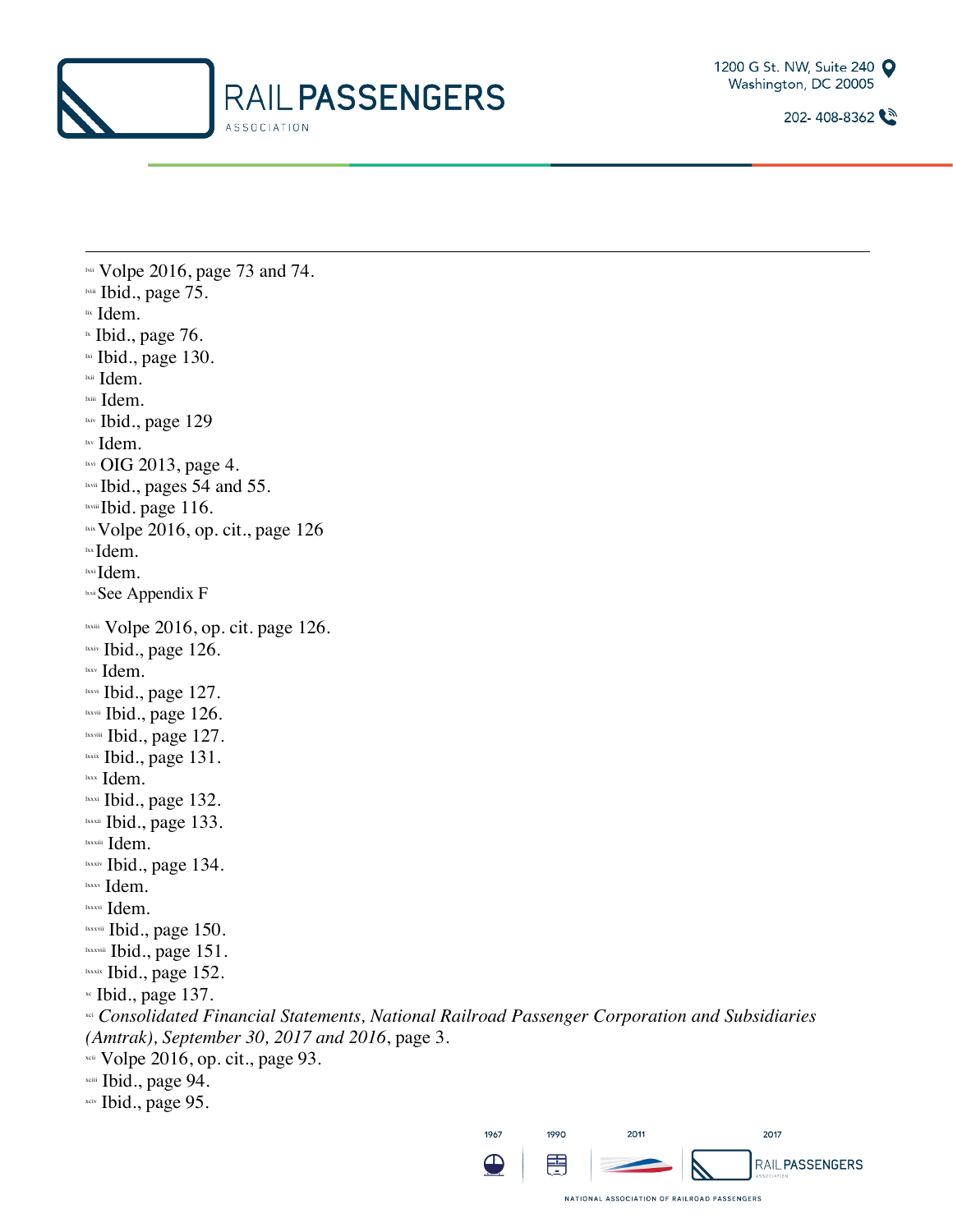



lvii Volpe 2016, page 73 and 74. lviii Ibid., page 75. lix Idem.  $\mu$  Ibid., page 76. 1xi Ibid., page 130. lxii Idem. lxiii Idem. lxiv Ibid., page 129 lxv Idem. lxvi OIG 2013, page 4. lxvii Ibid., pages 54 and 55. 1xviii Ibid. page 116.  $\frac{1}{x}$  Volpe 2016, op. cit., page 126 lxx Idem. lxxi Idem. **Lxxii** See Appendix F lxxiii Volpe 2016, op. cit. page 126. lxxiv Ibid., page 126. lxxv Idem. lxxvi Ibid., page 127. lxxvii Ibid., page 126. lxxviii Ibid., page 127. lxxix Ibid., page 131. lxxx Idem. lxxxi Ibid., page 132. lxxxii Ibid., page 133. lxxxiii Idem. lxxxiv Ibid., page 134. lxxxv Idem. lxxxvi Idem. lxxxvii Ibid., page 150. lxxxviii Ibid., page 151. lxxxix Ibid., page 152.  $\cdot$  Ibid., page 137. xci *Consolidated Financial Statements, National Railroad Passenger Corporation and Subsidiaries (Amtrak), September 30, 2017 and 2016*, page 3. xcii Volpe 2016, op. cit., page 93. xciii Ibid., page 94.

l

xciv Ibid., page 95.